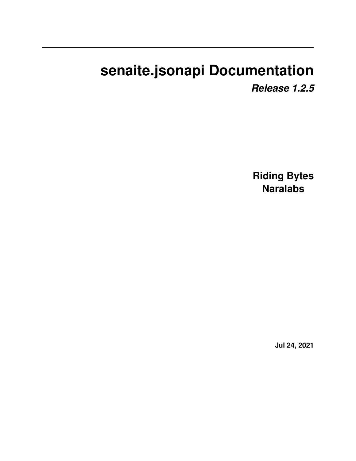# **senaite.jsonapi Documentation**

*Release 1.2.5*

**Riding Bytes Naralabs**

**Jul 24, 2021**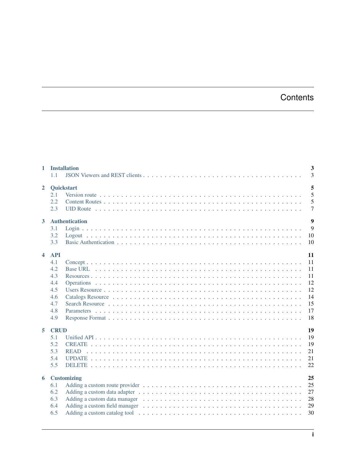## **Contents**

|                  | 1 Installation<br>11                                                      | 3<br>$\overline{3}$                                      |
|------------------|---------------------------------------------------------------------------|----------------------------------------------------------|
| $\mathbf{2}$     | Quickstart<br>2.1<br>2.2<br>2.3                                           | 5<br>5<br>5<br>7                                         |
| 3 <sup>1</sup>   | <b>Authentication</b><br>3.1<br>3.2<br>3.3                                | $\boldsymbol{9}$<br>9<br>10<br>10                        |
| $\blacktriangle$ | <b>API</b><br>4.1<br>4.2<br>4.3<br>4.4<br>4.5<br>4.6<br>4.7<br>4.8<br>4.9 | 11<br>11<br>11<br>11<br>12<br>12<br>14<br>15<br>17<br>18 |
| 5                | <b>CRUD</b><br>5.1<br>5.2<br>5.3<br><b>READ</b><br>5.4<br>5.5             | 19<br>19<br>19<br>21<br>21<br>22                         |
| 6                | <b>Customizing</b><br>6.1<br>6.2<br>6.3<br>6.4<br>6.5                     | 25<br>25<br>27<br>28<br>29<br>30                         |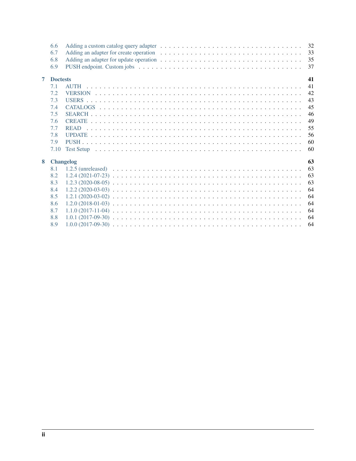|                | 6.6<br>6.7<br>6.8<br>6.9 | 32<br>33<br>35<br>37                                                                                                                                                                                                                 |
|----------------|--------------------------|--------------------------------------------------------------------------------------------------------------------------------------------------------------------------------------------------------------------------------------|
| $\overline{7}$ | <b>Doctests</b>          | 41                                                                                                                                                                                                                                   |
|                | 7.1                      | 41                                                                                                                                                                                                                                   |
|                | 7.2                      | 42                                                                                                                                                                                                                                   |
|                | 7.3                      | 43                                                                                                                                                                                                                                   |
|                | 7.4                      | 45                                                                                                                                                                                                                                   |
|                | 7.5                      | 46                                                                                                                                                                                                                                   |
|                | 7.6                      | 49                                                                                                                                                                                                                                   |
|                | 7.7                      | 55                                                                                                                                                                                                                                   |
|                | 7.8                      | 56                                                                                                                                                                                                                                   |
|                | 7.9                      | 60                                                                                                                                                                                                                                   |
|                | 7.10                     | Test Setup reconservative and the set of the set of the set of the set of the set of the set of the set of the set of the set of the set of the set of the set of the set of the set of the set of the set of the set of the s<br>60 |
| 8              | <b>Changelog</b>         | 63                                                                                                                                                                                                                                   |
|                | 8.1                      | 63                                                                                                                                                                                                                                   |
|                | 8.2                      | 63                                                                                                                                                                                                                                   |
|                | 8.3                      | 63                                                                                                                                                                                                                                   |
|                | 8.4                      | 64                                                                                                                                                                                                                                   |
|                | 8.5                      | 64                                                                                                                                                                                                                                   |
|                | 8.6                      | 64                                                                                                                                                                                                                                   |
|                | 8.7                      | 64                                                                                                                                                                                                                                   |
|                | 8.8                      | 64                                                                                                                                                                                                                                   |
|                | 8.9                      | -64                                                                                                                                                                                                                                  |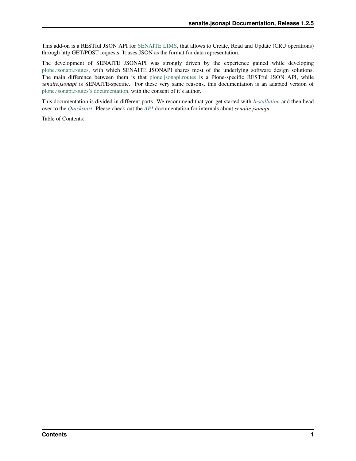This add-on is a RESTful JSON API for [SENAITE LIMS,](https://www.senaite.com) that allows to Create, Read and Update (CRU operations) through http GET/POST requests. It uses JSON as the format for data representation.

The development of SENAITE JSONAPI was strongly driven by the experience gained while developing [plone.jsonapi.routes,](https://pypi.python.org/pypi/plone.jsonapi.routes) with which SENAITE JSONAPI shares most of the underlying software design solutions. The main difference between them is that [plone.jsonapi.routes](https://pypi.python.org/pypi/plone.jsonapi.routes) is a Plone-specific RESTful JSON API, while *senaite.jsonapi* is SENAITE-specific. For these very same reasons, this documentation is an adapted version of [plone.jsonapi.routes's documentation,](https://plonejsonapiroutes.readthedocs.io/) with the consent of it's author.

This documentation is divided in different parts. We recommend that you get started with *[Installation](#page-6-0)* and then head over to the *[Quickstart](#page-8-0)*. Please check out the *[API](#page-14-0)* documentation for internals about *senaite.jsonapi*.

Table of Contents: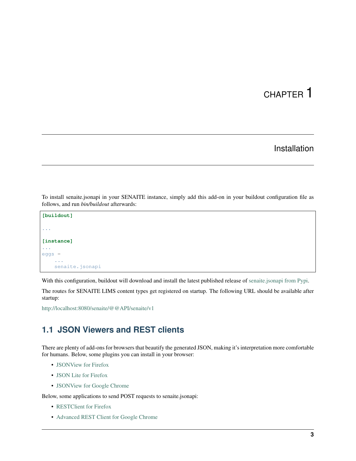# CHAPTER 1

## Installation

<span id="page-6-0"></span>To install senaite.jsonapi in your SENAITE instance, simply add this add-on in your buildout configuration file as follows, and run *bin/buildout* afterwards:

```
[buildout]
...
[instance]
...
eggs =
    ...
    senaite.jsonapi
```
With this configuration, buildout will download and install the latest published release of [senaite.jsonapi from Pypi.](https://pypi.org/project/senaite.jsonapi)

The routes for SENAITE LIMS content types get registered on startup. The following URL should be available after startup:

<http://localhost:8080/senaite/@@API/senaite/v1>

## <span id="page-6-1"></span>**1.1 JSON Viewers and REST clients**

There are plenty of add-ons for browsers that beautify the generated JSON, making it's interpretation more comfortable for humans. Below, some plugins you can install in your browser:

- [JSONView for Firefox](https://addons.mozilla.org/de/firefox/addon/jsonview)
- [JSON Lite for Firefox](https://addons.mozilla.org/en-US/firefox/addon/json-lite)
- [JSONView for Google Chrome](https://chrome.google.com/webstore/detail/jsonview/chklaanhfefbnpoihckbnefhakgolnmc?hl=en)

Below, some applications to send POST requests to senaite.jsonapi:

- [RESTClient for Firefox](https://addons.mozilla.org/en-US/firefox/addon/restclient/)
- [Advanced REST Client for Google Chrome](https://chrome.google.com/webstore/detail/advanced-rest-client/hgmloofddffdnphfgcellkdfbfbjeloo)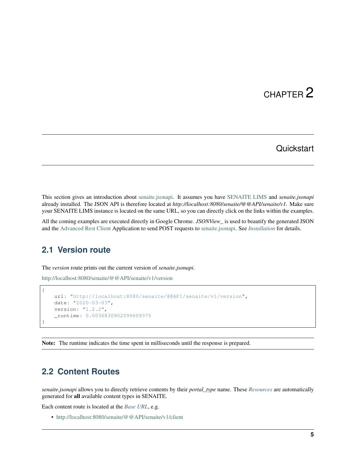# CHAPTER 2

## **Quickstart**

<span id="page-8-0"></span>This section gives an introduction about [senaite.jsonapi.](https://pypi.python.org/pypi/senaite.jsonapi) It assumes you have [SENAITE LIMS](https://www.senaite.com) and *senaite.jsonapi* already installed. The JSON API is therefore located at *http://localhost:8080/senaite/@@API/senaite/v1*. Make sure your SENAITE LIMS instance is located on the same URL, so you can directly click on the links within the examples.

All the coming examples are executed directly in Google Chrome. *JSONView\_* is used to beautify the generated JSON and the [Advanced Rest Client](https://chrome.google.com/webstore/detail/advanced-rest-client/hgmloofddffdnphfgcellkdfbfbjeloo) Application to send POST requests to [senaite.jsonapi.](https://pypi.python.org/pypi/senaite.jsonapi) See *[Installation](#page-6-0)* for details.

## <span id="page-8-1"></span>**2.1 Version route**

The *version* route prints out the current version of *senaite.jsonapi*.

<http://localhost:8080/senaite/@@API/senaite/v1/version>

```
{
   url: "http://localhost:8080/senaite/@@API/senaite/v1/version",
   date: "2020-03-03",
   version: "1.2.2",
    _runtime: 0.0036830902099609375
}
```
Note: The runtime indicates the time spent in milliseconds until the response is prepared.

### <span id="page-8-2"></span>**2.2 Content Routes**

*senaite.jsonapi* allows you to directly retrieve contents by their *portal\_type* name. These *[Resources](#page-14-3)* are automatically generated for all available content types in SENAITE.

Each content route is located at the *[Base URL](#page-14-2)*, e.g.

• <http://localhost:8080/senaite/@@API/senaite/v1/client>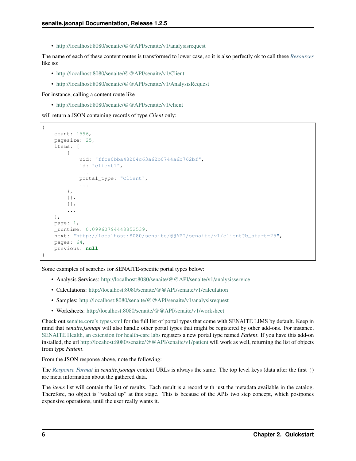• <http://localhost:8080/senaite/@@API/senaite/v1/analysisrequest>

The name of each of these content routes is transformed to lower case, so it is also perfectly ok to call these *[Resources](#page-14-3)* like so:

- <http://localhost:8080/senaite/@@API/senaite/v1/Client>
- <http://localhost:8080/senaite/@@API/senaite/v1/AnalysisRequest>

For instance, calling a content route like

• <http://localhost:8080/senaite/@@API/senaite/v1/client>

will return a JSON containing records of type *Client* only:

```
{
    count: 1596,
   pagesize: 25,
   items: [
        {
            uid: "ffce0bba48204c63a62b0744a6b762bf",
            id: "client1",
            ...
            portal_type: "Client",
            ...
        },
        {},
        {},
        ...
    ],
   page: 1,
    _runtime: 0.09960794448852539,
   next: "http://localhost:8080/senaite/@@API/senaite/v1/client?b_start=25",
    pages: 64,
    previous: null
}
```
Some examples of searches for SENAITE-specific portal types below:

- Analysis Services: <http://localhost:8080/senaite/@@API/senaite/v1/analysisservice>
- Calculations: <http://localhost:8080/senaite/@@API/senaite/v1/calculation>
- Samples: <http://localhost:8080/senaite/@@API/senaite/v1/analysisrequest>
- Worksheets: <http://localhost:8080/senaite/@@API/senaite/v1/worksheet>

Check out [senaite.core's types.xml](https://github.com/senaite/senaite.core/tree/master/bika/lims/profiles/default/types) for the full list of portal types that come with SENAITE LIMS by default. Keep in mind that *senaite.jsonapi* will also handle other portal types that might be registered by other add-ons. For instance, [SENAITE Health, an extension for health-care labs](https://pypi.org/project/senaite.health) registers a new portal type named *Patient*. If you have this add-on installed, the url <http://locahost:8080/senaite/@@API/senaite/v1/patient> will work as well, returning the list of objects from type *Patient*.

From the JSON response above, note the following:

The *[Response Format](#page-21-0)* in *senaite.jsonapi* content URLs is always the same. The top level keys (data after the first {) are meta information about the gathered data.

The *items* list will contain the list of results. Each result is a record with just the metadata available in the catalog. Therefore, no object is "waked up" at this stage. This is because of the APIs two step concept, which postpones expensive operations, until the user really wants it.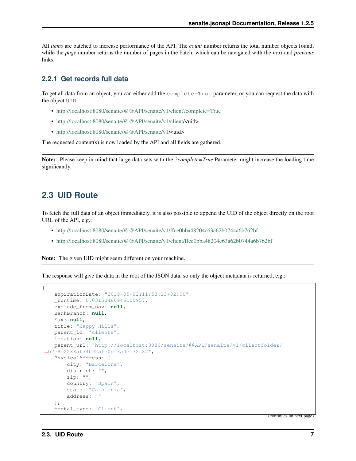All *items* are batched to increase performance of the API. The *count* number returns the total number objects found, while the *page* number returns the number of pages in the batch, which can be navigated with the *next* and *previous* links.

### **2.2.1 Get records full data**

To get all data from an object, you can either add the complete=True parameter, or you can request the data with the object UID.

- <http://localhost:8080/senaite/@@API/senaite/v1/client?complete=True>
- [http://localhost:8080/senaite/@@API/senaite/v1/client/](http://localhost:8080/senaite/@@API/senaite/v1/client)<uid>
- [http://localhost:8080/senaite/@@API/senaite/v1/](http://localhost:8080/senaite/@@API/senaite/v1)<uid>

The requested content(s) is now loaded by the API and all fields are gathered.

Note: Please keep in mind that large data sets with the *?complete=True* Parameter might increase the loading time significantly.

## <span id="page-10-0"></span>**2.3 UID Route**

To fetch the full data of an object immediately, it is also possible to append the UID of the object directly on the root URL of the API, e.g.:

- <http://localhost:8080/senaite/@@API/senaite/v1/ffce0bba48204c63a62b0744a6b762bf>
- <http://localhost:8080/senaite/@@API/senaite/v1/client/ffce0bba48204c63a62b0744a6b762bf>

Note: The given UID might seem different on your machine.

The response will give the data in the root of the JSON data, so only the object metadata is returned, e.g.:

```
{
   expirationDate: "2019-05-02T11:53:13+02:00",
   _runtime: 0.03150486946105957,
   exclude_from_nav: null,
   BankBranch: null,
   Fax: null,
   title: "Happy Hills",
   parent_id: "clients",
   location: null,
   parent_url: "http://localhost:8080/senaite/@@API/senaite/v1/clientfolder/
˓→b7e8d2288af74092afe0cf3a0e172f87",
   PhysicalAddress: {
       city: "Barcelona",
       district: "",
       zip: "",
       country: "Spain",
       state: "Catalonia",
       address: ""
   },
   portal_type: "Client",
```
(continues on next page)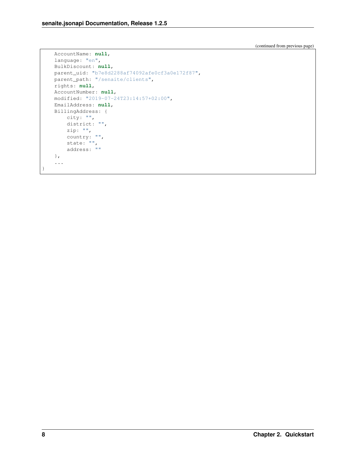(continued from previous page)

```
AccountName: null,
language: "en",
BulkDiscount: null,
parent_uid: "b7e8d2288af74092afe0cf3a0e172f87",
parent_path: "/senaite/clients",
rights: null,
AccountNumber: null,
modified: "2019-07-24T23:14:57+02:00",
EmailAddress: null,
BillingAddress: {
   city: "",
    district: "",
    zip: "",
    country: "",
    state: "",
    address: ""
},
 ...
```
}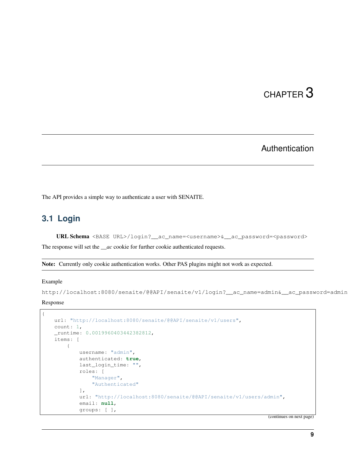# CHAPTER 3

## Authentication

<span id="page-12-0"></span>The API provides a simple way to authenticate a user with SENAITE.

## <span id="page-12-1"></span>**3.1 Login**

URL Schema <BASE URL>/login?\_\_ac\_name=<username>&\_\_ac\_password=<password>

The response will set the *\_\_ac* cookie for further cookie authenticated requests.

```
Note: Currently only cookie authentication works. Other PAS plugins might not work as expected.
```
#### Example

```
http://localhost:8080/senaite/@@API/senaite/v1/login?__ac_name=admin&__ac_password=admin
```
Response

{

```
url: "http://localhost:8080/senaite/@@API/senaite/v1/users",
count: 1,
_runtime: 0.0019960403442382812,
items: [
    {
        username: "admin",
        authenticated: true,
        last_login_time: "",
        roles: [
            "Manager",
            "Authenticated"
        ],
        url: "http://localhost:8080/senaite/@@API/senaite/v1/users/admin",
        email: null,
        groups: [ ],
```
(continues on next page)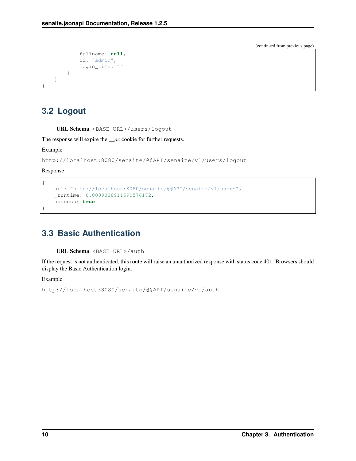(continued from previous page)

```
fullname: null,
             id: "admin",
             login_time: ""
        }
    ]
}
```
## <span id="page-13-0"></span>**3.2 Logout**

URL Schema <BASE URL>/users/logout

The response will expire the *\_\_ac* cookie for further requests.

Example

http://localhost:8080/senaite/@@API/senaite/v1/users/logout

Response

{

}

```
url: "http://localhost:8080/senaite/@@API/senaite/v1/users",
_runtime: 0.0009028911590576172,
success: true
```
## <span id="page-13-1"></span>**3.3 Basic Authentication**

URL Schema <BASE URL>/auth

If the request is not authenticated, this route will raise an unauthorized response with status code 401. Browsers should display the Basic Authentication login.

Example

```
http://localhost:8080/senaite/@@API/senaite/v1/auth
```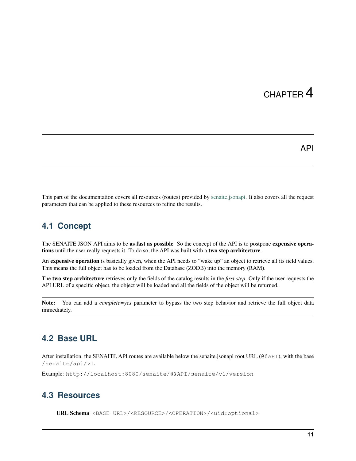# CHAPTER 4

### API

<span id="page-14-0"></span>This part of the documentation covers all resources (routes) provided by [senaite.jsonapi.](https://github.com/senaite/senaite.jsonapi) It also covers all the request parameters that can be applied to these resources to refine the results.

## <span id="page-14-1"></span>**4.1 Concept**

The SENAITE JSON API aims to be as fast as possible. So the concept of the API is to postpone expensive operations until the user really requests it. To do so, the API was built with a two step architecture.

An **expensive operation** is basically given, when the API needs to "wake up" an object to retrieve all its field values. This means the full object has to be loaded from the Database (ZODB) into the memory (RAM).

The two step architecture retrieves only the fields of the catalog results in the *first step*. Only if the user requests the API URL of a specific object, the object will be loaded and all the fields of the object will be returned.

Note: You can add a *complete=yes* parameter to bypass the two step behavior and retrieve the full object data immediately.

## <span id="page-14-2"></span>**4.2 Base URL**

After installation, the SENAITE API routes are available below the senaite.jsonapi root URL (@@API), with the base /senaite/api/v1.

Example: http://localhost:8080/senaite/@@API/senaite/v1/version

## <span id="page-14-3"></span>**4.3 Resources**

URL Schema <BASE URL>/<RESOURCE>/<OPERATION>/<uid:optional>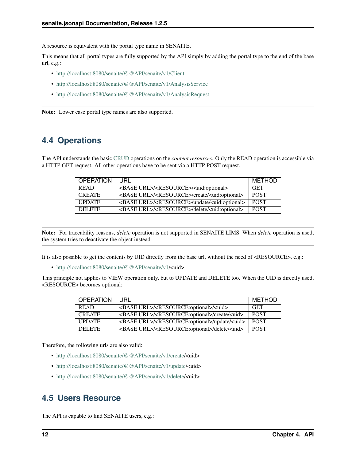A resource is equivalent with the portal type name in SENAITE.

This means that all portal types are fully supported by the API simply by adding the portal type to the end of the base url, e.g.:

- <http://localhost:8080/senaite/@@API/senaite/v1/Client>
- <http://localhost:8080/senaite/@@API/senaite/v1/AnalysisService>
- <http://localhost:8080/senaite/@@API/senaite/v1/AnalysisRequest>

Note: Lower case portal type names are also supported.

## <span id="page-15-0"></span>**4.4 Operations**

The API understands the basic [CRUD](http://en.wikipedia.org/wiki/CRUD) operations on the *content resources*. Only the READ operation is accessible via a HTTP GET request. All other operations have to be sent via a HTTP POST request.

| <b>OPERATION</b> | URL                                                                         | METHOD            |
|------------------|-----------------------------------------------------------------------------|-------------------|
| <b>READ</b>      | <base url=""/> / <resource>/<uid:optional></uid:optional></resource>        | <b>GET</b>        |
| <b>CREATE</b>    | <base url=""/> / <resource>/create/<uid:optional></uid:optional></resource> | POST <sup>.</sup> |
| <b>UPDATE</b>    | <base url=""/> / <resource>/update/<uid:optional></uid:optional></resource> | <b>POST</b>       |
| <b>DELETE</b>    | <base url=""/> / <resource>/delete/<uid:optional></uid:optional></resource> | <b>POST</b>       |

Note: For traceability reasons, *delete* operation is not supported in SENAITE LIMS. When *delete* operation is used, the system tries to deactivate the object instead.

It is also possible to get the contents by UID directly from the base url, without the need of <RESOURCE>, e.g.:

• [http://localhost:8080/senaite/@@API/senaite/v1/](http://localhost:8080/senaite/@@API/senaite/v1)<uid>

This principle not applies to VIEW operation only, but to UPDATE and DELETE too. When the UID is directly used, <RESOURCE> becomes optional:

| <b>OPERATION</b> | URL                                                                         | METHOD      |
|------------------|-----------------------------------------------------------------------------|-------------|
| <b>READ</b>      | <base url=""/> / <resource:optional>/<uid></uid></resource:optional>        | <b>GET</b>  |
| <b>CREATE</b>    | <base url=""/> / <resource:optional>/create/<uid></uid></resource:optional> | <b>POST</b> |
| <b>UPDATE</b>    | <base url=""/> / <resource:optional>/update/<uid></uid></resource:optional> | <b>POST</b> |
| <b>DELETE</b>    | <base url=""/> / <resource:optional>/delete/<uid></uid></resource:optional> | <b>POST</b> |

Therefore, the following urls are also valid:

- [http://localhost:8080/senaite/@@API/senaite/v1/create/](http://localhost:8080/senaite/@@API/senaite/v1/create)<uid>
- [http://localhost:8080/senaite/@@API/senaite/v1/update/](http://localhost:8080/senaite/@@API/senaite/v1/update)<uid>
- [http://localhost:8080/senaite/@@API/senaite/v1/delete/](http://localhost:8080/senaite/@@API/senaite/v1/delete)<uid>

## <span id="page-15-1"></span>**4.5 Users Resource**

The API is capable to find SENAITE users, e.g.: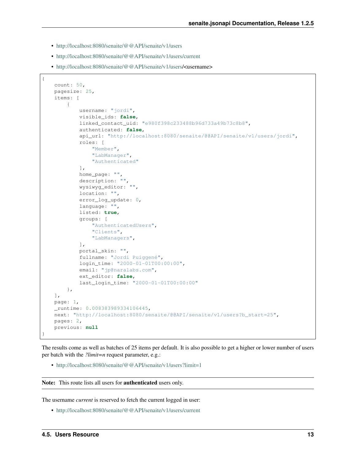- <http://localhost:8080/senaite/@@API/senaite/v1/users>
- <http://localhost:8080/senaite/@@API/senaite/v1/users/current>
- [http://localhost:8080/senaite/@@API/senaite/v1/users/](http://localhost:8080/senaite/@@API/senaite/v1/users)<username>

```
{
   count: 50,
   pagesize: 25,
   items: [
        {
            username: "jordi",
            visible_ids: false,
            linked_contact_uid: "e980f398c233488b96d733a49b73c8b8",
            authenticated: false,
            api_url: "http://localhost:8080/senaite/@@API/senaite/v1/users/jordi",
            roles: [
                "Member",
                "LabManager",
                "Authenticated"
            ],
            home_page: "",
            description: "",
            wysiwyg_editor: "",
            location: "",
            error_log_update: 0,
            language: "",
            listed: true,
            groups: [
                "AuthenticatedUsers",
                "Clients",
                "LabManagers",
            \frac{1}{2},
            portal_skin: "",
            fullname: "Jordi Puiggené",
            login_time: "2000-01-01T00:00:00",
            email: "jp@naralabs.com",
            ext_editor: false,
            last_login_time: "2000-01-01T00:00:00"
        },
   ],
   page: 1,
   _runtime: 0.008383989334106445,
   next: "http://localhost:8080/senaite/@@API/senaite/v1/users?b_start=25",
   pages: 2,
   previous: null
}
```
The results come as well as batches of 25 items per default. It is also possible to get a higher or lower number of users per batch with the *?limit=n* request parameter, e.g.:

• <http://localhost:8080/senaite/@@API/senaite/v1/users?limit=1>

Note: This route lists all users for **authenticated** users only.

The username *current* is reserved to fetch the current logged in user:

• <http://localhost:8080/senaite/@@API/senaite/v1/users/current>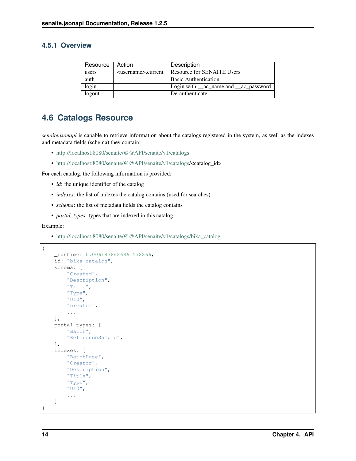#### **4.5.1 Overview**

| Resource   Action |                               | Description                                    |
|-------------------|-------------------------------|------------------------------------------------|
| users             | <username>,current</username> | Resource for SENAITE Users                     |
| auth              |                               | <b>Basic Authentication</b>                    |
| login             |                               | Login with <u>__ac</u> _name and __ac_password |
| logout            |                               | De-authenticate                                |

## <span id="page-17-0"></span>**4.6 Catalogs Resource**

*senaite.jsonapi* is capable to retrieve information about the catalogs registered in the system, as well as the indexes and metadata fields (schema) they contain:

- <http://localhost:8080/senaite/@@API/senaite/v1/catalogs>
- [http://localhost:8080/senaite/@@API/senaite/v1/catalogs/](http://localhost:8080/senaite/@@API/senaite/v1/catalogs)<catalog\_id>

For each catalog, the following information is provided:

- *id*: the unique identifier of the catalog
- *indexes*: the list of indexes the catalog contains (used for searches)
- *schema*: the list of metadata fields the catalog contains
- *portal\_types*: types that are indexed in this catalog

#### Example:

• [http://localhost:8080/senaite/@@API/senaite/v1/catalogs/bika\\_catalog](http://localhost:8080/senaite/@@API/senaite/v1/catalogs/bika_catalog)

```
{
   _runtime: 0.0061838626861572266,
    id: "bika_catalog",
    schema: [
        "Created",
        "Description",
        "Title",
        "Type",
        "UID",
        "creator",
        ...
   ],
   portal_types: [
        "Batch",
        "ReferenceSample",
    ],
    indexes: [
        "BatchDate",
        "Creator",
        "Description",
        "Title",
        "Type",
        "UID",
        ...
    ]
}
```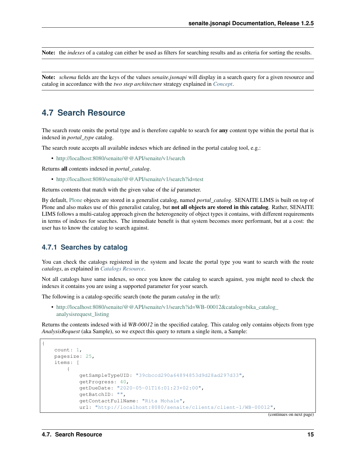Note: the *indexes* of a catalog can either be used as filters for searching results and as criteria for sorting the results.

Note: *schema* fields are the keys of the values *senaite.jsonapi* will display in a search query for a given resource and catalog in accordance with the *two step architecture* strategy explained in *[Concept](#page-14-1)*.

### <span id="page-18-0"></span>**4.7 Search Resource**

The search route omits the portal type and is therefore capable to search for **any** content type within the portal that is indexed in *portal\_type* catalog.

The search route accepts all available indexes which are defined in the portal catalog tool, e.g.:

• <http://localhost:8080/senaite/@@API/senaite/v1/search>

Returns all contents indexed in *portal\_catalog*.

• <http://localhost:8080/senaite/@@API/senaite/v1/search?id=test>

Returns contents that match with the given value of the *id* parameter.

By default, [Plone](http://plone.org) objects are stored in a generalist catalog, named *portal\_catalog*. SENAITE LIMS is built on top of Plone and also makes use of this generalist catalog, but **not all objects are stored in this catalog**. Rather, SENAITE LIMS follows a multi-catalog approach given the heterogeneity of object types it contains, with different requirements in terms of indexes for searches. The immediate benefit is that system becomes more performant, but at a cost: the user has to know the catalog to search against.

#### **4.7.1 Searches by catalog**

You can check the catalogs registered in the system and locate the portal type you want to search with the route *catalogs*, as explained in *[Catalogs Resource](#page-17-0)*.

Not all catalogs have same indexes, so once you know the catalog to search against, you might need to check the indexes it contains you are using a supported parameter for your search.

The following is a catalog-specific search (note the param *catalog* in the url):

• [http://localhost:8080/senaite/@@API/senaite/v1/search?id=WB-00012&catalog=bika\\_catalog\\_](http://localhost:8080/senaite/@@API/senaite/v1/search?id=WB-00012&catalog=bika_catalog_analysisrequest_listing) [analysisrequest\\_listing](http://localhost:8080/senaite/@@API/senaite/v1/search?id=WB-00012&catalog=bika_catalog_analysisrequest_listing)

Returns the contents indexed with id *WB-00012* in the specified catalog. This catalog only contains objects from type *AnalysisRequest* (aka Sample), so we expect this query to return a single item, a Sample:

```
count: 1,
pagesize: 25,
items: [
    {
        getSampleTypeUID: "39cbccd290a64894853d9d28ad297d33",
        getProgress: 40,
        getDueDate: "2020-05-01T16:01:23+02:00",
        getBatchID: "",
        getContactFullName: "Rita Mohale",
        url: "http://localhost:8080/senaite/clients/client-1/WB-00012",
```
(continues on next page)

{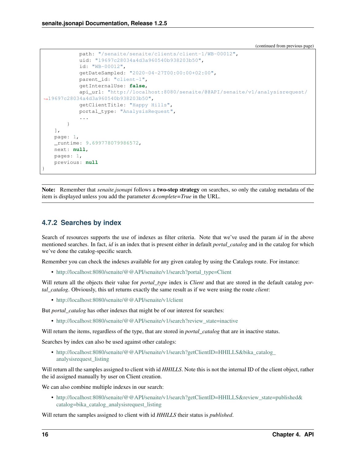(continued from previous page)

```
path: "/senaite/senaite/clients/client-1/WB-00012",
            uid: "19697c28034a4d3a960540b938203b50",
            id: "WB-00012",
            getDateSampled: "2020-04-27T00:00:00+02:00",
            parent_id: "client-1",
            getInternalUse: false,
            api_url: "http://localhost:8080/senaite/@@API/senaite/v1/analysisrequest/
˓→19697c28034a4d3a960540b938203b50",
           getClientTitle: "Happy Hills",
           portal_type: "AnalysisRequest",
            ...
        }
   ],
   page: 1,
   _runtime: 9.699778079986572,
   next: null,
   pages: 1,
   previous: null
}
```
Note: Remember that *senaite.jsonapi* follows a two-step strategy on searches, so only the catalog metadata of the item is displayed unless you add the parameter *&complete=True* in the URL.

### **4.7.2 Searches by index**

Search of resources supports the use of indexes as filter criteria. Note that we've used the param *id* in the above mentioned searches. In fact, *id* is an index that is present either in default *portal\_catalog* and in the catalog for which we've done the catalog-specific search.

Remember you can check the indexes available for any given catalog by using the Catalogs route. For instance:

• [http://localhost:8080/senaite/@@API/senaite/v1/search?portal\\_type=Client](http://localhost:8080/senaite/@@API/senaite/v1/search?portal_type=Client)

Will return all the objects their value for *portal\_type* index is *Client* and that are stored in the default catalog *portal\_catalog*. Obviously, this url returns exactly the same result as if we were using the route *client*:

• <http://localhost:8080/senaite/@@API/senaite/v1/client>

But *portal\_catalog* has other indexes that might be of our interest for searches:

• [http://localhost:8080/senaite/@@API/senaite/v1/search?review\\_state=inactive](http://localhost:8080/senaite/@@API/senaite/v1/search?review_state=inactive)

Will return the items, regardless of the type, that are stored in *portal\_catalog* that are in inactive status.

Searches by index can also be used against other catalogs:

• [http://localhost:8080/senaite/@@API/senaite/v1/search?getClientID=HHILLS&bika\\_catalog\\_](http://localhost:8080/senaite/@@API/senaite/v1/search?getClientID=HHILLS&bika_catalog_analysisrequest_listing) [analysisrequest\\_listing](http://localhost:8080/senaite/@@API/senaite/v1/search?getClientID=HHILLS&bika_catalog_analysisrequest_listing)

Will return all the samples assigned to client with id *HHILLS*. Note this is not the internal ID of the client object, rather the id assigned manually by user on Client creation.

We can also combine multiple indexes in our search:

• [http://localhost:8080/senaite/@@API/senaite/v1/search?getClientID=HHILLS&review\\_state=published&](http://localhost:8080/senaite/@@API/senaite/v1/search?getClientID=HHILLS&review_state=published&catalog=bika_catalog_analysisrequest_listing) [catalog=bika\\_catalog\\_analysisrequest\\_listing](http://localhost:8080/senaite/@@API/senaite/v1/search?getClientID=HHILLS&review_state=published&catalog=bika_catalog_analysisrequest_listing)

Will return the samples assigned to client with id *HHILLS* their status is *published*.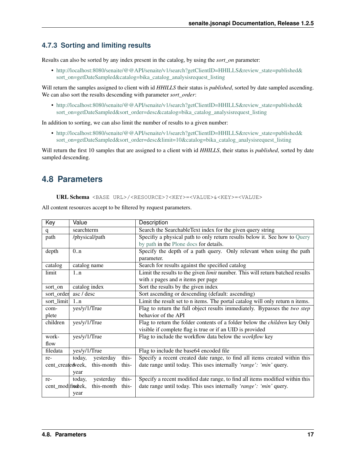### **4.7.3 Sorting and limiting results**

Results can also be sorted by any index present in the catalog, by using the *sort\_on* parameter:

• [http://localhost:8080/senaite/@@API/senaite/v1/search?getClientID=HHILLS&review\\_state=published&](http://localhost:8080/senaite/@@API/senaite/v1/search?getClientID=HHILLS&review_state=published&sort_on=getDateSampled&catalog=bika_catalog_analysisrequest_listing) [sort\\_on=getDateSampled&catalog=bika\\_catalog\\_analysisrequest\\_listing](http://localhost:8080/senaite/@@API/senaite/v1/search?getClientID=HHILLS&review_state=published&sort_on=getDateSampled&catalog=bika_catalog_analysisrequest_listing)

Will return the samples assigned to client with id *HHILLS* their status is *published*, sorted by date sampled ascending. We can also sort the results descending with parameter *sort\_order*:

• [http://localhost:8080/senaite/@@API/senaite/v1/search?getClientID=HHILLS&review\\_state=published&](http://localhost:8080/senaite/@@API/senaite/v1/search?getClientID=HHILLS&review_state=published&sort_on=getDateSampled&sort_order=desc&catalog=bika_catalog_analysisrequest_listing) [sort\\_on=getDateSampled&sort\\_order=desc&catalog=bika\\_catalog\\_analysisrequest\\_listing](http://localhost:8080/senaite/@@API/senaite/v1/search?getClientID=HHILLS&review_state=published&sort_on=getDateSampled&sort_order=desc&catalog=bika_catalog_analysisrequest_listing)

In addition to sorting, we can also limit the number of results to a given number:

• [http://localhost:8080/senaite/@@API/senaite/v1/search?getClientID=HHILLS&review\\_state=published&](http://localhost:8080/senaite/@@API/senaite/v1/search?getClientID=HHILLS&review_state=published&sort_on=getDateSampled&sort_order=desc&limit=10&catalog=bika_catalog_analysisrequest_listing) [sort\\_on=getDateSampled&sort\\_order=desc&limit=10&catalog=bika\\_catalog\\_analysisrequest\\_listing](http://localhost:8080/senaite/@@API/senaite/v1/search?getClientID=HHILLS&review_state=published&sort_on=getDateSampled&sort_order=desc&limit=10&catalog=bika_catalog_analysisrequest_listing)

Will return the first 10 samples that are assigned to a client with id *HHILLS*, their status is *published*, sorted by date sampled descending.

## <span id="page-20-0"></span>**4.8 Parameters**

URL Schema <BASE URL>/<RESOURCE>?<KEY>=<VALUE>&<KEY>=<VALUE>

All content resources accept to be filtered by request parameters.

| Key                 | Value                        | Description                                                                          |
|---------------------|------------------------------|--------------------------------------------------------------------------------------|
| q                   | searchterm                   | Search the SearchableText index for the given query string                           |
| path                | /physical/path               | Specifiy a physical path to only return results below it. See how to Query           |
|                     |                              | by path in the Plone docs for details.                                               |
| depth               | 0.n                          | Specify the depth of a path query. Only relevant when using the path                 |
|                     |                              | parameter.                                                                           |
| catalog             | catalog name                 | Search for results against the specified catalog                                     |
| limit               | 1:n                          | Limit the results to the given <i>limit</i> number. This will return batched results |
|                     |                              | with $x$ pages and $n$ items per page                                                |
| sort_on             | catalog index                | Sort the results by the given index                                                  |
| sort_order          | asc / desc                   | Sort ascending or descending (default: ascending)                                    |
| sort_limit          | 1:n                          | Limit the result set to n items. The portal catalog will only return n items.        |
| com-                | yes/y/1/True                 | Flag to return the full object results immediately. Bypasses the two step            |
| plete               |                              | behavior of the API                                                                  |
| children            | yes/y/1/True                 | Flag to return the folder contents of a folder below the <i>children</i> key Only    |
|                     |                              | visible if complete flag is true or if an UID is provided                            |
| work-               | yes/y/1/True                 | Flag to include the workflow data below the <i>workflow</i> key                      |
| flow                |                              |                                                                                      |
| filedata            | yes/y/1/True                 | Flag to include the base64 encoded file                                              |
| re-                 | this-<br>yesterday<br>today, | Specify a recent created date range, to find all items created within this           |
| cent_createdveek,   | this-month this-             | date range until today. This uses internally 'range': 'min' query.                   |
|                     | year                         |                                                                                      |
| re-                 | this-<br>yesterday<br>today, | Specify a recent modified date range, to find all items modified within this         |
| cent_modifinatelek, | this-month this-             | date range until today. This uses internally 'range': 'min' query.                   |
|                     | year                         |                                                                                      |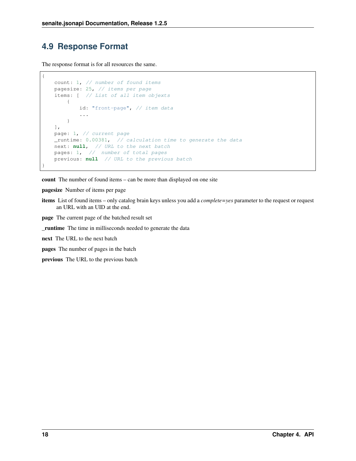## <span id="page-21-0"></span>**4.9 Response Format**

The response format is for all resources the same.

```
{
   count: 1, // number of found items
   pagesize: 25, // items per page
   items: [ // List of all item objexts
        {
           id: "front-page", // item data
           ...
        }
   ],
   page: 1, // current page
   _runtime: 0.00381, // calculation time to generate the data
   next: null, // URL to the next batch
   pages: 1, // number of total pages
   previous: null // URL to the previous batch
}
```
count The number of found items – can be more than displayed on one site

pagesize Number of items per page

items List of found items – only catalog brain keys unless you add a *complete=yes* parameter to the request or request an URL with an UID at the end.

page The current page of the batched result set

\_runtime The time in milliseconds needed to generate the data

next The URL to the next batch

pages The number of pages in the batch

previous The URL to the previous batch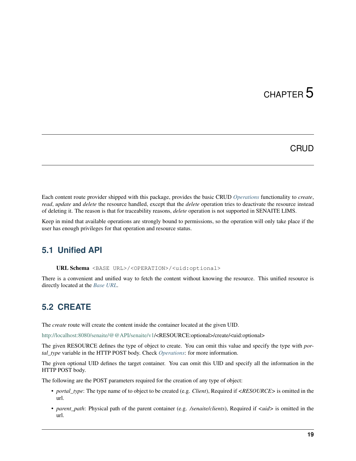# CHAPTER 5

## **CRUD**

<span id="page-22-0"></span>Each content route provider shipped with this package, provides the basic CRUD *[Operations](#page-15-0)* functionality to *create*, *read*, *update* and *delete* the resource handled, except that the *delete* operation tries to deactivate the resource instead of deleting it. The reason is that for traceability reasons, *delete* operation is not supported in SENAITE LIMS.

Keep in mind that available operations are strongly bound to permissions, so the operation will only take place if the user has enough privileges for that operation and resource status.

## <span id="page-22-1"></span>**5.1 Unified API**

URL Schema <BASE URL>/<OPERATION>/<uid:optional>

There is a convenient and unified way to fetch the content without knowing the resource. This unified resource is directly located at the *[Base URL](#page-14-2)*.

## <span id="page-22-2"></span>**5.2 CREATE**

The *create* route will create the content inside the container located at the given UID.

[http://localhost:8080/senaite/@@API/senaite/v1/](http://localhost:8080/senaite/@@API/senaite/v1)<RESOURCE:optional>/create/<uid:optional>

The given RESOURCE defines the type of object to create. You can omit this value and specify the type with *portal\_type* variable in the HTTP POST body. Check *[Operations](#page-15-0)*: for more information.

The given optional UID defines the target container. You can omit this UID and specify all the information in the HTTP POST body.

The following are the POST parameters required for the creation of any type of object:

- *portal\_type*: The type name of to object to be created (e.g. *Client*), Required if *<RESOURCE>* is omitted in the url.
- *parent path*: Physical path of the parent container (e.g. */senaite/clients*), Required if  $\ltq u \cdot d$  is omitted in the url.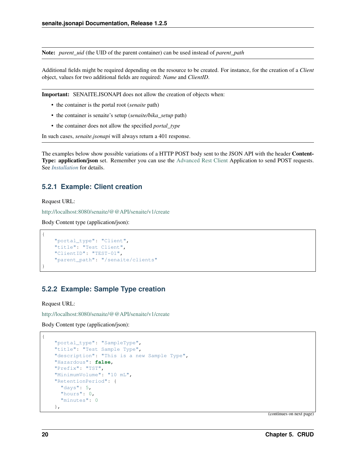Note: *parent\_uid* (the UID of the parent container) can be used instead of *parent\_path*

Additional fields might be required depending on the resource to be created. For instance, for the creation of a *Client* object, values for two additional fields are required: *Name* and *ClientID*.

Important: SENAITE.JSONAPI does not allow the creation of objects when:

- the container is the portal root (*senaite* path)
- the container is senaite's setup (*senaite/bika\_setup* path)
- the container does not allow the specified *portal\_type*

In such cases, *senaite.jsonapi* will always return a 401 response.

The examples below show possible variations of a HTTP POST body sent to the JSON API with the header Content-Type: application/json set. Remember you can use the [Advanced Rest Client](https://chrome.google.com/webstore/detail/advanced-rest-client/hgmloofddffdnphfgcellkdfbfbjeloo) Application to send POST requests. See *[Installation](#page-6-0)* for details.

### **5.2.1 Example: Client creation**

Request URL:

{

}

{

<http://localhost:8080/senaite/@@API/senaite/v1/create>

Body Content type (application/json):

```
"portal_type": "Client",
"title": "Test Client",
"ClientID": "TEST-01",
"parent_path": "/senaite/clients"
```
### **5.2.2 Example: Sample Type creation**

Request URL:

<http://localhost:8080/senaite/@@API/senaite/v1/create>

Body Content type (application/json):

```
"portal_type": "SampleType",
"title": "Test Sample Type",
"description": "This is a new Sample Type",
"Hazardous": false,
"Prefix": "TST",
"MinimumVolume": "10 mL",
"RetentionPeriod": {
  "days": 5,
  "hours": 0,
  "minutes": 0
},
```
(continues on next page)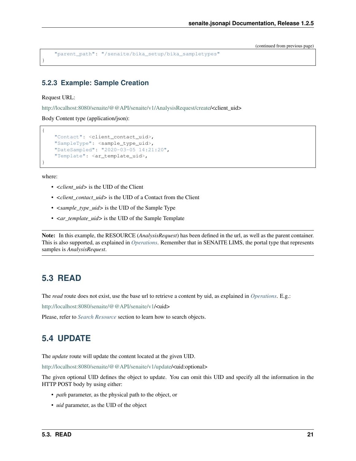(continued from previous page)

```
"parent_path": "/senaite/bika_setup/bika_sampletypes"
```
### **5.2.3 Example: Sample Creation**

#### Request URL:

}

{

}

[http://localhost:8080/senaite/@@API/senaite/v1/AnalysisRequest/create/](http://localhost:8080/senaite/@@API/senaite/v1/AnalysisRequest/create)<client\_uid>

Body Content type (application/json):

```
"Contact": <client_contact_uid>,
"SampleType": <sample_type_uid>,
"DateSampled": "2020-03-05 14:21:20",
"Template": <ar_template_uid>,
```
where:

- *<client\_uid>* is the UID of the Client
- *<client\_contact\_uid>* is the UID of a Contact from the Client
- *<sample\_type\_uid>* is the UID of the Sample Type
- *<ar\_template\_uid>* is the UID of the Sample Template

Note: In this example, the RESOURCE (*AnalysisRequest*) has been defined in the url, as well as the parent container. This is also supported, as explained in *[Operations](#page-15-0)*. Remember that in SENAITE LIMS, the portal type that represents samples is *AnalysisRequest*.

### <span id="page-24-0"></span>**5.3 READ**

The *read* route does not exist, use the base url to retrieve a content by uid, as explained in *[Operations](#page-15-0)*. E.g.:

http://localhost:8080/senaite/@@API/senaite/v1**/<uid>** 

Please, refer to *[Search Resource](#page-18-0)* section to learn how to search objects.

## <span id="page-24-1"></span>**5.4 UPDATE**

The *update* route will update the content located at the given UID.

[http://localhost:8080/senaite/@@API/senaite/v1/update/](http://localhost:8080/senaite/@@API/senaite/v1/update)<uid:optional>

The given optional UID defines the object to update. You can omit this UID and specify all the information in the HTTP POST body by using either:

- *path* parameter, as the physical path to the object, or
- *uid* parameter, as the UID of the object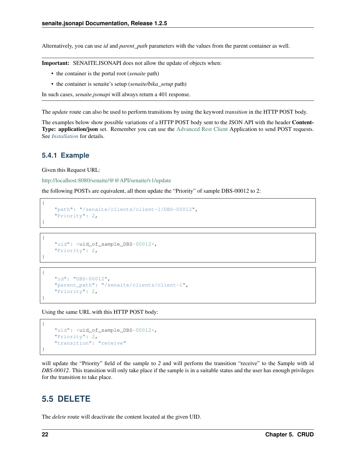Alternatively, you can use *id* and *parent\_path* parameters with the values from the parent container as well.

Important: SENAITE.JSONAPI does not allow the update of objects when:

- the container is the portal root (*senaite* path)
- the container is senaite's setup (*senaite/bika\_setup* path)

In such cases, *senaite.jsonapi* will always return a 401 response.

The *update* route can also be used to perform transitions by using the keyword *transition* in the HTTP POST body.

The examples below show possible variations of a HTTP POST body sent to the JSON API with the header Content-Type: application/json set. Remember you can use the [Advanced Rest Client](https://chrome.google.com/webstore/detail/advanced-rest-client/hgmloofddffdnphfgcellkdfbfbjeloo) Application to send POST requests. See *[Installation](#page-6-0)* for details.

#### **5.4.1 Example**

{

}

{

}

{

{

}

Given this Request URL:

<http://localhost:8080/senaite/@@API/senaite/v1/update>

the following POSTs are equivalent, all them update the "Priority" of sample DBS-00012 to 2:

```
"path": "/senaite/clients/client-1/DBS-00012",
"Priority": 2,
```

```
"uid": <uid_of_sample_DBS-00012>,
"Priority": 2,
```

```
"id": "DBS-00012",
    "parent_path": "/senaite/clients/client-1",
    "Priority": 2,
}
```
Using the same URL with this HTTP POST body:

```
"uid": <uid_of_sample_DBS-00012>,
"Priority": 2,
"transition": "receive"
```
will update the "Priority" field of the sample to *2* and will perform the transition "receive" to the Sample with id *DBS-00012*. This transition will only take place if the sample is in a suitable status and the user has enough privileges for the transition to take place.

## <span id="page-25-0"></span>**5.5 DELETE**

The *delete* route will deactivate the content located at the given UID.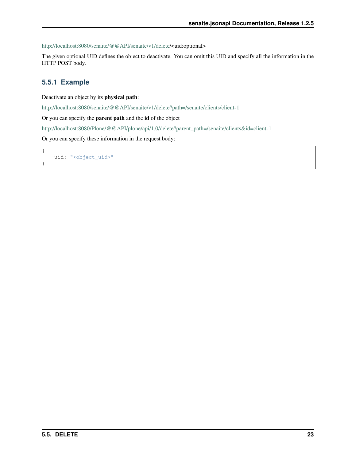[http://localhost:8080/senaite/@@API/senaite/v1/delete/](http://localhost:8080/senaite/@@API/senaite/v1/delete)<uid:optional>

The given optional UID defines the object to deactivate. You can omit this UID and specify all the information in the HTTP POST body.

### **5.5.1 Example**

{

}

Deactivate an object by its physical path:

<http://localhost:8080/senaite/@@API/senaite/v1/delete?path=/senaite/clients/client-1>

Or you can specify the parent path and the id of the object

[http://localhost:8080/Plone/@@API/plone/api/1.0/delete?parent\\_path=/senaite/clients&id=client-1](http://localhost:8080/Plone/@@API/plone/api/1.0/delete?parent_path=/senaite/clients&id=client-1)

Or you can specify these information in the request body:

uid: "<object\_uid>"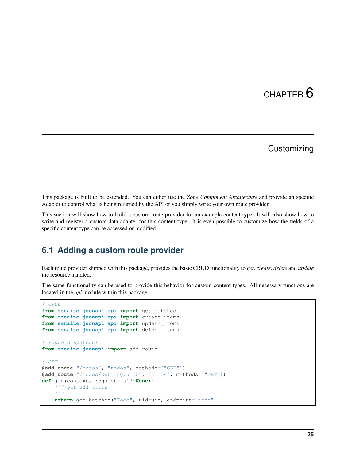# CHAPTER<sup>6</sup>

## **Customizing**

<span id="page-28-0"></span>This package is built to be extended. You can either use the *Zope Component Architecture* and provide an specific Adapter to control what is being returned by the API or you simply write your own route provider.

This section will show how to build a custom route provider for an example content type. It will also show how to write and register a custom data adapter for this content type. It is even possible to customize how the fields of a specific content type can be accessed or modified.

## <span id="page-28-1"></span>**6.1 Adding a custom route provider**

Each route provider shipped with this package, provides the basic CRUD functionality to *get*, *create*, *delete* and *update* the resource handled.

The same functionality can be used to provide this behavior for custom content types. All necessary functions are located in the *api* module within this package.

```
# CRUD
from senaite.jsonapi.api import get_batched
from senaite.jsonapi.api import create_items
from senaite.jsonapi.api import update_items
from senaite.jsonapi.api import delete_items
# route dispatcher
from senaite.jsonapi import add_route
# GET
@add_route("/todos", "todos", methods=["GET"])
@add_route("/todos/<string:uid>", "todos", methods=["GET"])
def get(context, request, uid=None):
    """ get all todos
    "''"return get_batched("Todo", uid=uid, endpoint="todo")
```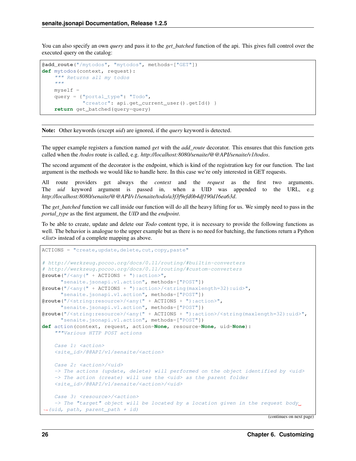You can also specify an own *query* and pass it to the *get batched* function of the api. This gives full control over the executed query on the catalog:

```
@add_route("/mytodos", "mytodos", methods=["GET"])
def mytodos(context, request):
    """ Returns all my todos
    \bar{n}/\bar{n}/\bar{n}myself =
    query = {"portal_type": "Todo",
              "creator": api.get_current_user().getId() }
    return get_batched(query=query)
```
Note: Other keywords (except *uid*) are ignored, if the *query* keyword is detected.

The upper example registers a function named *get* with the *add\_route* decorator. This ensures that this function gets called when the */todos* route is called, e.g. *http://localhost:8080/senaite/@@API/senaite/v1/todos*.

The second argument of the decorator is the endpoint, which is kind of the registration key for our function. The last argument is the methods we would like to handle here. In this case we're only interested in GET requests.

All route providers get always the *context* and the *request* as the first two arguments. The *uid* keyword argument is passed in, when a UID was appended to the URL, e.g *http://localhost:8080/senaite/@@API/v1/senaite/todo/a3f3f9efd0b4df190d16ea63d*.

The *get\_batched* function we call inside our function will do all the heavy lifting for us. We simply need to pass in the *portal\_type* as the first argument, the *UID* and the *endpoint*.

To be able to create, update and delete our *Todo* content type, it is necessary to provide the following functions as well. The behavior is analogue to the upper example but as there is no need for batching, the functions return a Python *<list>* instead of a complete mapping as above.

```
ACTIONS = "create, update, delete, cut, copy, paste"
# http://werkzeug.pocoo.org/docs/0.11/routing/#builtin-converters
# http://werkzeug.pocoo.org/docs/0.11/routing/#custom-converters
@route("/<any(" + ACTIONS + "):action>",
      "senaite.jsonapi.v1.action", methods=["POST"])
@route("/<any(" + ACTIONS + "):action>/<string(maxlength=32):uid>",
      "senaite.jsonapi.v1.action", methods=["POST"])
@route("/<string:resource>/<any(" + ACTIONS + "):action>",
      "senaite.jsonapi.v1.action", methods=["POST"])
@route("/<string:resource>/<any(" + ACTIONS + "):action>/<string(maxlength=32):uid>",
      "senaite.jsonapi.v1.action", methods=["POST"])
def action(context, request, action=None, resource=None, uid=None):
    """Various HTTP POST actions
    Case 1: < action>
    <site_id>/@@API/v1/senaite/<action>
   Case 2: <action>/<uid>
    -> The actions (update, delete) will performed on the object identified by <uid>
    -> The action (create) will use the <uid> as the parent folder
    <site_id>/@@API/v1/senaite/<action>/<uid>
    Case 3: <resource>/<action>
    \rightarrow The "target" object will be located by a location given in the request body.
˓→(uid, path, parent_path + id)
```
(continues on next page)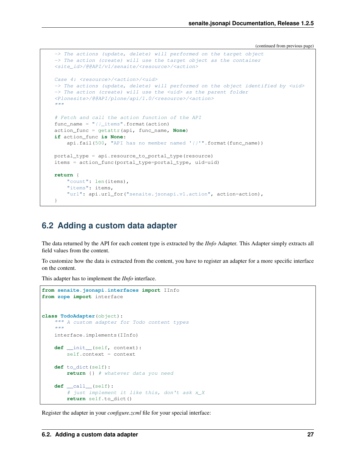(continued from previous page)

```
-> The actions (update, delete) will performed on the target object
-> The action (create) will use the target object as the container
<site_id>/@@API/v1/senaite/<resource>/<action>
Case 4: <resource>/<action>/<uid>
-> The actions (update, delete) will performed on the object identified by <uid>
\rightarrow The action (create) will use the <uid> as the parent folder
<Plonesite>/@@API/plone/api/1.0/<resource>/<action>
\boldsymbol{u} \boldsymbol{u} \boldsymbol{n}# Fetch and call the action function of the API
func_name = "()_items".format(action)
action_func = getattr(api, func_name, None)
if action_func is None:
    api.fail(500, "API has no member named '\{ ''".format(func name))
portal_type = api.resource_to_portal_type(resource)
items = action_func(portal_type=portal_type, uid=uid)
return {
    "count": len(items),
    "items": items,
    "url": api.url for("senaite.jsonapi.v1.action", action=action),
}
```
### <span id="page-30-0"></span>**6.2 Adding a custom data adapter**

The data returned by the API for each content type is extracted by the *IInfo* Adapter. This Adapter simply extracts all field values from the content.

To customize how the data is extracted from the content, you have to register an adapter for a more specific interface on the content.

This adapter has to implement the *IInfo* interface.

```
from senaite.jsonapi.interfaces import IInfo
from zope import interface
class TodoAdapter(object):
    """ A custom adapter for Todo content types
    \bar{n} \bar{n} \bar{n}interface.implements(IInfo)
    def __init__(self, context):
        self.context = context
    def to_dict(self):
        return {} # whatever data you need
    def __call__(self):
        # just implement it like this, don't ask x_X
        return self.to_dict()
```
Register the adapter in your *configure.zcml* file for your special interface: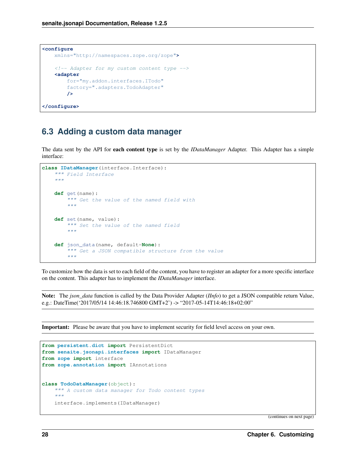```
<configure
   xmlns="http://namespaces.zope.org/zope">
    \langle -- Adapter for my custom content type -->
    <adapter
       for="my.addon.interfaces.ITodo"
        factory=".adapters.TodoAdapter"
        />
</configure>
```
## <span id="page-31-0"></span>**6.3 Adding a custom data manager**

The data sent by the API for each content type is set by the *IDataManager* Adapter. This Adapter has a simple interface:

```
class IDataManager(interface.Interface):
    """ Field Interface
    "''"''"def get(name):
        """ Get the value of the named field with
        "''"def set(name, value):
        """ Set the value of the named field
        "''"''"def json_data(name, default=None):
        """ Get a JSON compatible structure from the value
        "''"
```
To customize how the data is set to each field of the content, you have to register an adapter for a more specific interface on the content. This adapter has to implement the *IDataManager* interface.

Note: The *json\_data* function is called by the Data Provider Adapter (*IInfo*) to get a JSON compatible return Value, e.g.: DateTime('2017/05/14 14:46:18.746800 GMT+2') -> "2017-05-14T14:46:18+02:00"

Important: Please be aware that you have to implement security for field level access on your own.

```
from persistent.dict import PersistentDict
from senaite.jsonapi.interfaces import IDataManager
from zope import interface
from zope.annotation import IAnnotations
class TodoDataManager(object):
    """ A custom data manager for Todo content types
    "''"''"interface.implements(IDataManager)
```
(continues on next page)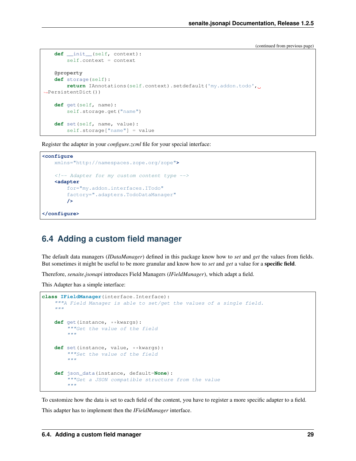(continued from previous page)

```
def __init__(self, context):
       self.context = context
   @property
   def storage(self):
       return IAnnotations(self.context).setdefault('my.addon.todo',
˓→PersistentDict())
   def get(self, name):
       self.storage.get("name")
   def set(self, name, value):
       self.storage["name"] = value
```
Register the adapter in your *configure.zcml* file for your special interface:

```
<configure
    xmlns="http://namespaces.zope.org/zope">
    <!-- Adapter for my custom content type -->
    <adapter
        for="my.addon.interfaces.ITodo"
        factory=".adapters.TodoDataManager"
        />
</configure>
```
## <span id="page-32-0"></span>**6.4 Adding a custom field manager**

The default data managers (*IDataManager*) defined in this package know how to *set* and *get* the values from fields. But sometimes it might be useful to be more granular and know how to *set* and *get* a value for a specific field.

Therefore, *senaite.jsonapi* introduces Field Managers (*IFieldManager*), which adapt a field.

This Adapter has a simple interface:

```
class IFieldManager(interface.Interface):
    """A Field Manager is able to set/get the values of a single field.
    """
    def get(instance, **kwargs):
        """Get the value of the field
         "''"def set(instance, value, **kwargs):
         """Set the value of the field
         "''"def json_data(instance, default=None):
        """Get a JSON compatible structure from the value
         \overline{u}"" \overline{u}
```
To customize how the data is set to each field of the content, you have to register a more specific adapter to a field.

This adapter has to implement then the *IFieldManager* interface.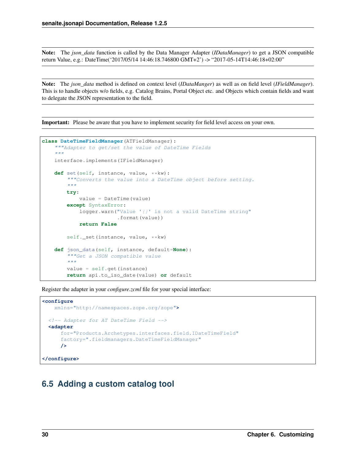Note: The *json\_data* function is called by the Data Manager Adapter (*IDataManager*) to get a JSON compatible return Value, e.g.: DateTime('2017/05/14 14:46:18.746800 GMT+2') -> "2017-05-14T14:46:18+02:00"

Note: The *json\_data* method is defined on context level (*IDataManger*) as well as on field level (*IFieldManager*). This is to handle objects w/o fields, e.g. Catalog Brains, Portal Object etc. and Objects which contain fields and want to delegate the JSON representation to the field.

Important: Please be aware that you have to implement security for field level access on your own.

```
class DateTimeFieldManager(ATFieldManager):
    """Adapter to get/set the value of DateTime Fields
    "''"''"''"interface.implements(IFieldManager)
   def set(self, instance, value, **kw):
        """Converts the value into a DateTime object before setting.
        "''"''"''"try:
            value = DateTime(value)
        except SyntaxError:
            logger.warn("Value '{}' is not a valid DateTime string"
                         .format(value))
            return False
        self._set(instance, value, **kw)
    def json_data(self, instance, default=None):
        """Get a JSON compatible value
        "''"''"''"value = self.get(instance)
        return api.to_iso_date(value) or default
```
Register the adapter in your *configure.zcml* file for your special interface:

```
<configure
   xmlns="http://namespaces.zope.org/zope">
 <!-- Adapter for AT DateTime Field -->
 <adapter
     for="Products.Archetypes.interfaces.field.IDateTimeField"
      factory=".fieldmanagers.DateTimeFieldManager"
      />
</configure>
```
## <span id="page-33-0"></span>**6.5 Adding a custom catalog tool**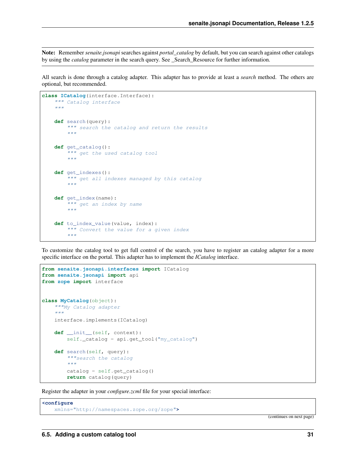Note: Remember *senaite.jsonapi* searches against *portal\_catalog* by default, but you can search against other catalogs by using the *catalog* parameter in the search query. See \_Search\_Resource for further information.

All search is done through a catalog adapter. This adapter has to provide at least a *search* method. The others are optional, but recommended.

```
class ICatalog(interface.Interface):
     """ Catalog interface
     \overline{u}""" \overline{u}def search(query):
         """ search the catalog and return the results
          "''"''"''"def get_catalog():
         """ get the used catalog tool
          "''"''"def get_indexes():
          """ get all indexes managed by this catalog
          \bar{n} \bar{n} \bar{n}def get_index(name):
         """ get an index by name
          "''"''"def to_index_value(value, index):
          """ Convert the value for a given index
          \overline{u}"" \overline{u}
```
To customize the catalog tool to get full control of the search, you have to register an catalog adapter for a more specific interface on the portal. This adapter has to implement the *ICatalog* interface.

```
from senaite.jsonapi.interfaces import ICatalog
from senaite.jsonapi import api
from zope import interface
class MyCatalog(object):
   """My Catalog adapter
    "''"''"''"interface.implements(ICatalog)
    def __init__(self, context):
        self._catalog = api.get_tool("my_catalog")
    def search(self, query):
        """search the catalog
        \bar{n} \bar{n} \bar{n}catalog = self.get_catalog()
        return catalog(query)
```
Register the adapter in your *configure.zcml* file for your special interface:

**<configure** xmlns="http://namespaces.zope.org/zope"**>**

(continues on next page)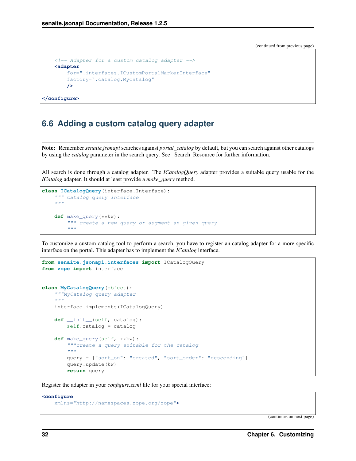(continued from previous page)

```
<!-- Adapter for a custom catalog adapter -->
   <adapter
       for=".interfaces.ICustomPortalMarkerInterface"
       factory=".catalog.MyCatalog"
       />
</configure>
```
## <span id="page-35-0"></span>**6.6 Adding a custom catalog query adapter**

Note: Remember *senaite.jsonapi* searches against *portal\_catalog* by default, but you can search against other catalogs by using the *catalog* parameter in the search query. See \_Search\_Resource for further information.

All search is done through a catalog adapter. The *ICatalogQuery* adapter provides a suitable query usable for the *ICatalog* adapter. It should at least provide a *make\_query* method.

```
class ICatalogQuery(interface.Interface):
    """ Catalog query interface
    \bar{n} \bar{n} \bar{n}def make_query(**kw):
         """ create a new query or augment an given query
         "''"''"''"
```
To customize a custom catalog tool to perform a search, you have to register an catalog adapter for a more specific interface on the portal. This adapter has to implement the *ICatalog* interface.

```
from senaite.jsonapi.interfaces import ICatalogQuery
from zope import interface
class MyCatalogQuery(object):
    """MyCatalog query adapter
    \boldsymbol{m} \boldsymbol{m} \boldsymbol{m}interface.implements(ICatalogQuery)
    def __init__(self, catalog):
        self.catalog = catalog
    def make_query(self, **kw):
         """create a query suitable for the catalog
         "''"query = {"sort_on": "created", "sort_order": "descending"}
        query.update(kw)
        return query
```
Register the adapter in your *configure.zcml* file for your special interface:

```
<configure
   xmlns="http://namespaces.zope.org/zope">
```
(continues on next page)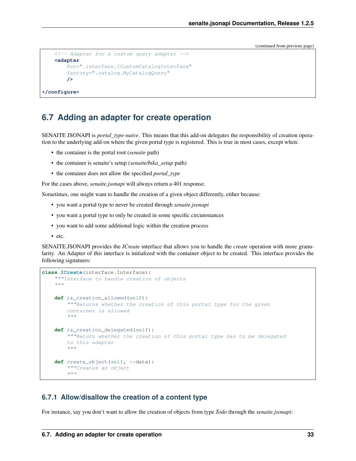(continued from previous page)

```
\langle -- Adapter for a custom query adapter -->
<adapter
    for=".interface.ICustomCatalogInterface"
    factory=".catalog.MyCatalogQuery"
    />
```
#### **</configure>**

## <span id="page-36-0"></span>**6.7 Adding an adapter for create operation**

SENAITE JSONAPI is *portal\_type-naive*. This means that this add-on delegates the responsibility of creation operation to the underlying add-on where the given portal type is registered. This is true in most cases, except when:

- the container is the portal root (*senaite* path)
- the container is senaite's setup (*senaite/bika\_setup* path)
- the container does not allow the specified *portal\_type*

For the cases above, *senaite.jsonapi* will always return a 401 response.

Sometimes, one might want to handle the creation of a given object differently, either because:

- you want a portal type to never be created through *senaite.jsonapi*
- you want a portal type to only be created in some specific circumstances
- you want to add some additional logic within the creation process
- etc.

SENAITE.JSONAPI provides the *ICreate* interface that allows you to handle the *create* operation with more granularity. An Adapter of this interface is initialized with the container object to be created. This interface provides the following signatures:

```
class ICreate(interface.Interface):
    """Interface to handle creation of objects
    "''"''"def is_creation_allowed(self):
        """Returns whether the creation of this portal type for the given
        container is allowed
        "''"''"''"def is_creation_delegated(self):
        """Return whether the creation of this portal type has to be delegated
        to this adapter
        "''"''"def create_object(self, **data):
        """Creates an object
        "''"
```
#### **6.7.1 Allow/disallow the creation of a content type**

For instance, say you don't want to allow the creation of objects from type *Todo* through the *senaite.jsonapi*: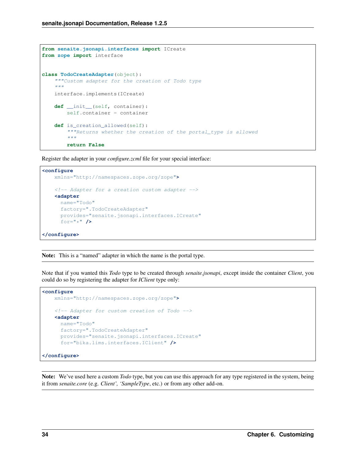```
from senaite.jsonapi.interfaces import ICreate
from zope import interface
class TodoCreateAdapter(object):
    """Custom adapter for the creation of Todo type
    \boldsymbol{u} \boldsymbol{u} \boldsymbol{n}interface.implements(ICreate)
    def __init__(self, container):
         self.container = container
    def is_creation_allowed(self):
         """Returns whether the creation of the portal_type is allowed
         \bar{n} \bar{n} \bar{n}return False
```
Register the adapter in your *configure.zcml* file for your special interface:

```
<configure
   xmlns="http://namespaces.zope.org/zope">
   <!-- Adapter for a creation custom adapter -->
   <adapter
     name="Todo"
     factory=".TodoCreateAdapter"
     provides="senaite.jsonapi.interfaces.ICreate"
     for="*" />
</configure>
```
Note: This is a "named" adapter in which the name is the portal type.

Note that if you wanted this *Todo* type to be created through *senaite.jsonapi*, except inside the container *Client*, you could do so by registering the adapter for *IClient* type only:

```
<configure
   xmlns="http://namespaces.zope.org/zope">
   <!-- Adapter for custom creation of Todo -->
   <adapter
     name="Todo"
     factory=".TodoCreateAdapter"
     provides="senaite.jsonapi.interfaces.ICreate"
     for="bika.lims.interfaces.IClient" />
</configure>
```
Note: We've used here a custom *Todo* type, but you can use this approach for any type registered in the system, being it from *senaite.core* (e.g. *Client', 'SampleType*, etc.) or from any other add-on.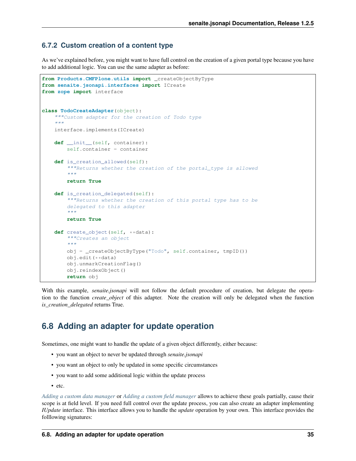### **6.7.2 Custom creation of a content type**

As we've explained before, you might want to have full control on the creation of a given portal type because you have to add additional logic. You can use the same adapter as before:

```
from Products.CMFPlone.utils import _createObjectByType
from senaite.jsonapi.interfaces import ICreate
from zope import interface
class TodoCreateAdapter(object):
    """Custom adapter for the creation of Todo type
    """
    interface.implements(ICreate)
    def __init__(self, container):
        self.container = container
    def is_creation_allowed(self):
        """Returns whether the creation of the portal_type is allowed
        \bar{n}/\bar{n}/\bar{n}return True
    def is creation delegated(self):
        """Returns whether the creation of this portal type has to be
        delegated to this adapter
        "''"''"''"return True
    def create_object(self, **data):
        """Creates an object
        "''"''"''"obj = _createObjectByType("Todo", self.container, tmpID())
        obj.edit(**data)
        obj.unmarkCreationFlag()
        obj.reindexObject()
        return obj
```
With this example, *senaite.jsonapi* will not follow the default procedure of creation, but delegate the operation to the function *create\_object* of this adapter. Note the creation will only be delegated when the function *is\_creation\_delegated* returns True.

## <span id="page-38-0"></span>**6.8 Adding an adapter for update operation**

Sometimes, one might want to handle the update of a given object differently, either because:

- you want an object to never be updated through *senaite.jsonapi*
- you want an object to only be updated in some specific circumstances
- you want to add some additional logic within the update process
- etc.

*[Adding a custom data manager](#page-31-0)* or *[Adding a custom field manager](#page-32-0)* allows to achieve these goals partially, cause their scope is at field level. If you need full control over the update process, you can also create an adapter implementing *IUpdate* interface. This interface allows you to handle the *update* operation by your own. This interface provides the folllowing signatures: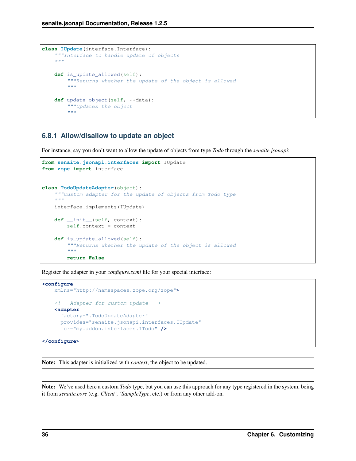```
class IUpdate(interface.Interface):
    """Interface to handle update of objects
    "''"''"def is_update_allowed(self):
        """Returns whether the update of the object is allowed
        "''"''"''"def update_object(self, **data):
        """Updates the object
        "''"''"''"
```
#### **6.8.1 Allow/disallow to update an object**

For instance, say you don't want to allow the update of objects from type *Todo* through the *senaite.jsonapi*:

```
from senaite.jsonapi.interfaces import IUpdate
from zope import interface
class TodoUpdateAdapter(object):
    """Custom adapter for the update of objects from Todo type
    \overline{u}" \overline{u}interface.implements(IUpdate)
    def __init__(self, context):
        self.context = context
    def is_update_allowed(self):
         """Returns whether the update of the object is allowed
        "''"return False
```
Register the adapter in your *configure.zcml* file for your special interface:

```
<configure
   xmlns="http://namespaces.zope.org/zope">
   <!-- Adapter for custom update -->
   <adapter
     factory=".TodoUpdateAdapter"
     provides="senaite.jsonapi.interfaces.IUpdate"
     for="my.addon.interfaces.ITodo" />
```

```
</configure>
```
Note: This adapter is initialized with *context*, the object to be updated.

Note: We've used here a custom *Todo* type, but you can use this approach for any type registered in the system, being it from *senaite.core* (e.g. *Client', 'SampleType*, etc.) or from any other add-on.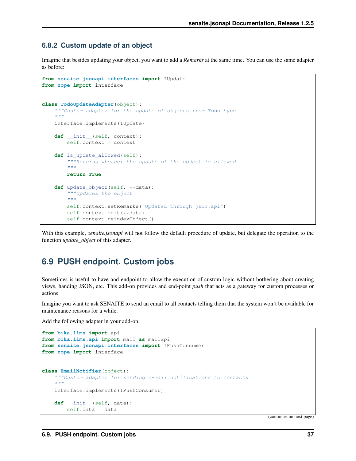### **6.8.2 Custom update of an object**

Imagine that besides updating your object, you want to add a *Remarks* at the same time. You can use the same adapter as before:

```
from senaite.jsonapi.interfaces import IUpdate
from zope import interface
class TodoUpdateAdapter(object):
    """Custom adapter for the update of objects from Todo type
    "''"''"''"''"interface.implements(IUpdate)
    def __init__(self, context):
        self.context = context
    def is update allowed(self):
         """Returns whether the update of the object is allowed
         \boldsymbol{u} \boldsymbol{u} \boldsymbol{u}return True
    def update_object(self, **data):
         """Updates the object
         "''"''"''"self.context.setRemarks("Updated through json.api")
         self.context.edit(**data)
         self.context.reindexObject()
```
With this example, *senaite.jsonapi* will not follow the default procedure of update, but delegate the operation to the function *update\_object* of this adapter.

## <span id="page-40-0"></span>**6.9 PUSH endpoint. Custom jobs**

Sometimes is useful to have and endpoint to allow the execution of custom logic without bothering about creating views, handing JSON, etc. This add-on provides and end-point *push* that acts as a gateway for custom processes or actions.

Imagine you want to ask SENAITE to send an email to all contacts telling them that the system won't be available for maintenance reasons for a while.

Add the following adapter in your add-on:

```
from bika.lims import api
from bika.lims.api import mail as mailapi
from senaite.jsonapi.interfaces import IPushConsumer
from zope import interface
class EmailNotifier(object):
    """Custom adapter for sending e-mail notifications to contacts
    \bar{n} \bar{n} \bar{n}interface.implements(IPushConsumer)
    def __init__(self, data):
        self.data = data
```
(continues on next page)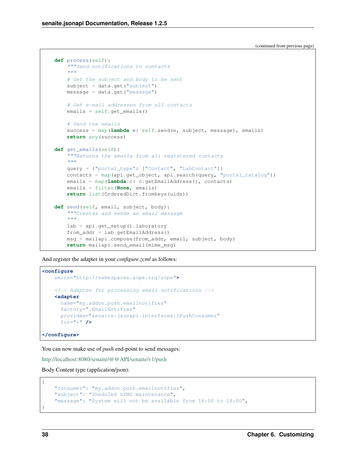(continued from previous page)

```
def process(self):
    """Send notifications to contacts
    \bar{n} \bar{n} \bar{n}# Get the subject and body to be sent
    subject = data.get("subject")
    message = data.get("message")
    # Get e-mail addresses from all contacts
    emails = self.get_emails()
    # Send the emails
    success = map(lambda e: self.send(e, subject, message), emails)
    return any(success)
def get_emails(self):
    """Returns the emails from all registered contacts
    "''"''"query = {"portal_type": ["Contact", "LabContact"]}
    contacts = map(api.get_object, api.search(query, "portal_catalog"))
    emails = map(lambda c: c.getEmailAddress(), contacts)
    emails = filter(None, emails)
    return list(OrderedDict.fromkeys(uids))
def send(self, email, subject, body):
    """Creates and sends an email message
    "''"lab = api.get_setup().laboratory
    from_addr = lab.getEmailAddress()
    msg = mailapi.compose(from_addr, email, subject, body)
    return mailapi.send_email(mime_msg)
```
And register the adapter in your *configure.zcml* as follows:

```
<configure
   xmlns="http://namespaces.zope.org/zope">
   <!-- Adapter for processing email notifications -->
   <adapter
     name="my.addon.push.emailnotifier"
     factory=".EmailNotifier"
     provides="senaite.jsonapi.interfaces.IPushConsumer"
     for="*" />
```
**</configure>**

You can now make use of *push* end-point to send messages:

<http://localhost:8080/senaite/@@API/senaite/v1/push>

Body Content type (application/json):

```
"consumer": "my.addon.push.emailnotifier",
"subject": "Sheduled LIMS maintenance",
"message": "System will not be available from 16:00 to 18:00",
```
{

}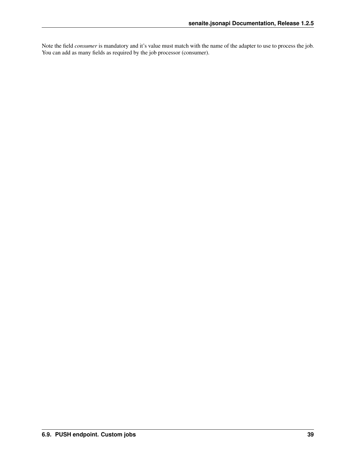Note the field *consumer* is mandatory and it's value must match with the name of the adapter to use to process the job. You can add as many fields as required by the job processor (consumer).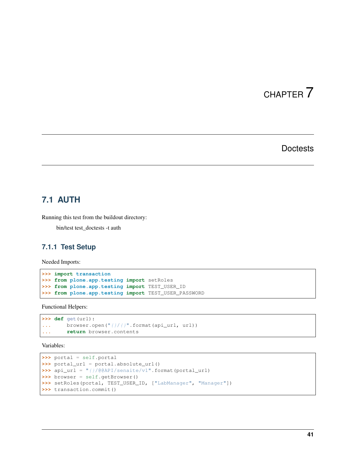# CHAPTER 7

### **Doctests**

## <span id="page-44-1"></span><span id="page-44-0"></span>**7.1 AUTH**

Running this test from the buildout directory:

bin/test test\_doctests -t auth

### **7.1.1 Test Setup**

Needed Imports:

```
>>> import transaction
>>> from plone.app.testing import setRoles
>>> from plone.app.testing import TEST_USER_ID
>>> from plone.app.testing import TEST_USER_PASSWORD
```
Functional Helpers:

```
>>> def get(url):
... browser.open("{}/{}".format(api_url, url))
... return browser.contents
```
Variables:

```
>>> portal = self.portal
>>> portal_url = portal.absolute_url()
>>> api_url = "{}/@@API/senaite/v1".format(portal_url)
>>> browser = self.getBrowser()
>>> setRoles(portal, TEST_USER_ID, ["LabManager", "Manager"])
>>> transaction.commit()
```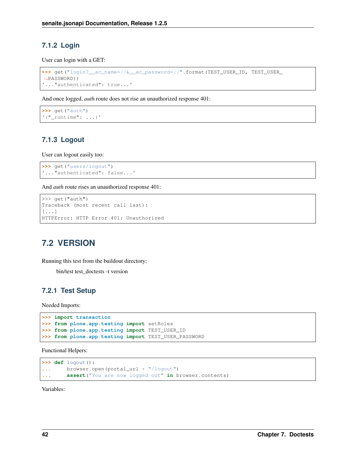### **7.1.2 Login**

User can login with a GET:

```
>>> get("login?__ac_name={}&__ac_password={}".format(TEST_USER_ID, TEST_USER_
˓→PASSWORD))
'..."authenticated": true...'
```
And once logged, *auth* route does not rise an unauthorized response 401:

```
>>> get("auth")
'{"_runtime": ...}'
```
### **7.1.3 Logout**

User can logout easily too:

```
>>> get("users/logout")
'..."authenticated": false...'
```
And *auth* route rises an unauthorized response 401:

```
>>> get("auth")
Traceback (most recent call last):
[...]
HTTPError: HTTP Error 401: Unauthorized
```
## <span id="page-45-0"></span>**7.2 VERSION**

Running this test from the buildout directory:

bin/test test\_doctests -t version

### **7.2.1 Test Setup**

Needed Imports:

```
>>> import transaction
>>> from plone.app.testing import setRoles
>>> from plone.app.testing import TEST_USER_ID
>>> from plone.app.testing import TEST_USER_PASSWORD
```
Functional Helpers:

```
>>> def logout():
... browser.open(portal_url + "/logout")
... assert("You are now logged out" in browser.contents)
```
Variables: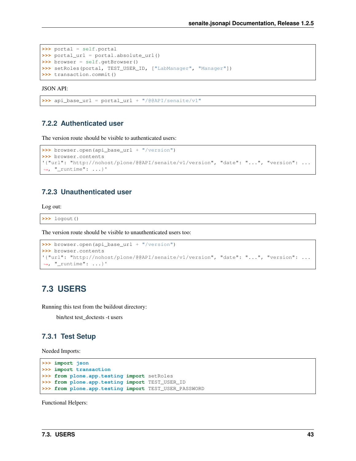```
>>> portal = self.portal
>>> portal_url = portal.absolute_url()
>>> browser = self.getBrowser()
>>> setRoles(portal, TEST_USER_ID, ["LabManager", "Manager"])
>>> transaction.commit()
```
JSON API:

```
>>> api_base_url = portal_url + "/@@API/senaite/v1"
```
#### **7.2.2 Authenticated user**

The version route should be visible to authenticated users:

```
>>> browser.open(api_base_url + "/version")
>>> browser.contents
'{"url": "http://nohost/plone/@@API/senaite/v1/version", "date": "...", "version": ...
˓→, "_runtime": ...}'
```
#### **7.2.3 Unauthenticated user**

Log out:

**>>>** logout()

The version route should be visible to unauthenticated users too:

```
>>> browser.open(api_base_url + "/version")
>>> browser.contents
'{"url": "http://nohost/plone/@@API/senaite/v1/version", "date": "...", "version": ...
\leftrightarrow, "_runtime": ...}'
```
### <span id="page-46-0"></span>**7.3 USERS**

Running this test from the buildout directory:

bin/test test\_doctests -t users

#### **7.3.1 Test Setup**

Needed Imports:

```
>>> import json
>>> import transaction
>>> from plone.app.testing import setRoles
>>> from plone.app.testing import TEST_USER_ID
>>> from plone.app.testing import TEST_USER_PASSWORD
```
Functional Helpers: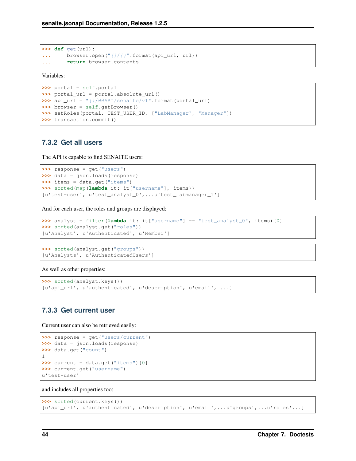```
>>> def get(url):
... browser.open("{}/{}".format(api_url, url))
... return browser.contents
```
#### Variables:

```
>>> portal = self.portal
>>> portal_url = portal.absolute_url()
>>> api_url = "{}/@@API/senaite/v1".format(portal_url)
>>> browser = self.getBrowser()
>>> setRoles(portal, TEST_USER_ID, ["LabManager", "Manager"])
>>> transaction.commit()
```
#### **7.3.2 Get all users**

The API is capable to find SENAITE users:

```
>>> response = get("users")
>>> data = json.loads(response)
>>> items = data.get("items")
>>> sorted(map(lambda it: it["username"], items))
[u'test-user', u'test_analyst_0',...u'test_labmanager_1']
```
And for each user, the roles and groups are displayed:

```
>>> analyst = filter(lambda it: it["username"] == "test_analyst_0", items)[0]
>>> sorted(analyst.get("roles"))
[u'Analyst', u'Authenticated', u'Member']
```

```
>>> sorted(analyst.get("groups"))
[u'Analysts', u'AuthenticatedUsers']
```
As well as other properties:

```
>>> sorted(analyst.keys())
[u'api_url', u'authenticated', u'description', u'email', ...]
```
### **7.3.3 Get current user**

Current user can also be retrieved easily:

```
>>> response = get("users/current")
>>> data = json.loads(response)
>>> data.get("count")
1
>>> current = data.get("items")[0]
>>> current.get("username")
u'test-user'
```
and includes all properties too:

```
>>> sorted(current.keys())
[u'api_url', u'authenticated', u'description', u'email',...u'groups',...u'roles'...]
```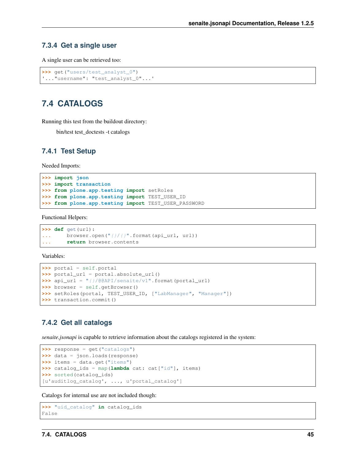#### **7.3.4 Get a single user**

A single user can be retrieved too:

```
>>> get("users/test_analyst_0")
'..."username": "test_analyst_0"...'
```
## <span id="page-48-0"></span>**7.4 CATALOGS**

Running this test from the buildout directory:

bin/test test\_doctests -t catalogs

#### **7.4.1 Test Setup**

Needed Imports:

```
>>> import json
>>> import transaction
>>> from plone.app.testing import setRoles
>>> from plone.app.testing import TEST_USER_ID
>>> from plone.app.testing import TEST_USER_PASSWORD
```
Functional Helpers:

```
>>> def get(url):
... browser.open("{}/{}".format(api_url, url))
... return browser.contents
```
Variables:

```
>>> portal = self.portal
>>> portal_url = portal.absolute_url()
>>> api_url = "{}/@@API/senaite/v1".format(portal_url)
>>> browser = self.getBrowser()
>>> setRoles(portal, TEST_USER_ID, ["LabManager", "Manager"])
>>> transaction.commit()
```
### **7.4.2 Get all catalogs**

*senaite.jsonapi* is capable to retrieve information about the catalogs registered in the system:

```
>>> response = get("catalogs")
>>> data = json.loads(response)
>>> items = data.get("items")
>>> catalog_ids = map(lambda cat: cat["id"], items)
>>> sorted(catalog_ids)
[u'auditlog_catalog', ..., u'portal_catalog']
```
Catalogs for internal use are not included though:

```
>>> "uid_catalog" in catalog_ids
False
```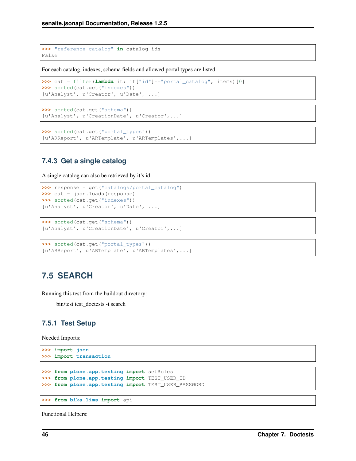**>>>** "reference\_catalog" **in** catalog\_ids False

For each catalog, indexes, schema fields and allowed portal types are listed:

```
>>> cat = filter(lambda it: it["id"]=="portal_catalog", items)[0]
>>> sorted(cat.get("indexes"))
[u'Analyst', u'Creator', u'Date', ...]
```

```
>>> sorted(cat.get("schema"))
[u'Analyst', u'CreationDate', u'Creator',...]
```

```
>>> sorted(cat.get("portal_types"))
[u'ARReport', u'ARTemplate', u'ARTemplates',...]
```
### **7.4.3 Get a single catalog**

A single catalog can also be retrieved by it's id:

```
>>> response = get("catalogs/portal_catalog")
>>> cat = json.loads(response)
>>> sorted(cat.get("indexes"))
[u'Analyst', u'Creator', u'Date', ...]
```
**>>>** sorted(cat.get("schema")) [u'Analyst', u'CreationDate', u'Creator',...]

```
>>> sorted(cat.get("portal_types"))
[u'ARReport', u'ARTemplate', u'ARTemplates',...]
```
## <span id="page-49-0"></span>**7.5 SEARCH**

Running this test from the buildout directory:

bin/test test\_doctests -t search

### **7.5.1 Test Setup**

Needed Imports:

```
>>> import json
>>> import transaction
>>> from plone.app.testing import setRoles
>>> from plone.app.testing import TEST_USER_ID
>>> from plone.app.testing import TEST_USER_PASSWORD
```

```
>>> from bika.lims import api
```
Functional Helpers: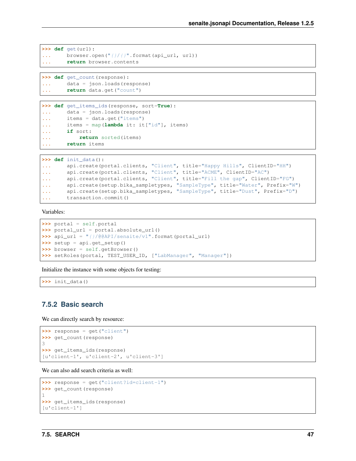```
>>> def get(url):
... browser.open("{}/{}".format(api_url, url))
... return browser.contents
```
**>>> def** get\_count(response): **...** data = json.loads(response) **... return** data.get("count")

```
>>> def get_items_ids(response, sort=True):
... data = json.loads(response)
... items = data.get("items")
... items = map(lambda it: it["id"], items)
... if sort:
... return sorted(items)
... return items
```
**>>> def** init\_data(): **...** api.create(portal.clients, "Client", title="Happy Hills", ClientID="HH") **...** api.create(portal.clients, "Client", title="ACME", ClientID="AC") **...** api.create(portal.clients, "Client", title="Fill the gap", ClientID="FG") **...** api.create(setup.bika\_sampletypes, "SampleType", title="Water", Prefix="W") **...** api.create(setup.bika\_sampletypes, "SampleType", title="Dust", Prefix="D") **...** transaction.commit()

Variables:

```
>>> portal = self.portal
>>> portal_url = portal.absolute_url()
>>> api_url = "{}/@@API/senaite/v1".format(portal_url)
>>> setup = api.get_setup()
>>> browser = self.getBrowser()
>>> setRoles(portal, TEST_USER_ID, ["LabManager", "Manager"])
```
Initialize the instance with some objects for testing:

**>>>** init\_data()

### **7.5.2 Basic search**

We can directly search by resource:

```
>>> response = get("client")
>>> get_count(response)
3
>>> get_items_ids(response)
[u'client-1', u'client-2', u'client-3']
```
We can also add search criteria as well:

```
>>> response = get("client?id=client-1")
>>> get_count(response)
1
>>> get_items_ids(response)
[u'client-1']
```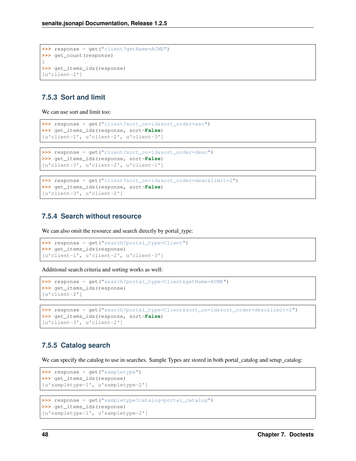```
>>> response = get("client?getName=ACME")
>>> get_count(response)
1
>>> get_items_ids(response)
[u'client-2']
```
### **7.5.3 Sort and limit**

We can use sort and limit too:

```
>>> response = get("client?sort_on=id&sort_order=asc")
>>> get_items_ids(response, sort=False)
[u'client-1', u'client-2', u'client-3']
```

```
>>> response = get("client?sort_on=id&sort_order=desc")
>>> get_items_ids(response, sort=False)
[u'client-3', u'client-2', u'client-1']
```

```
>>> response = get("client?sort_on=id&sort_order=desc&limit=2")
>>> get_items_ids(response, sort=False)
[u'client-3', u'client-2']
```
### **7.5.4 Search without resource**

We can also omit the resource and search directly by portal\_type:

```
>>> response = get("search?portal_type=Client")
>>> get_items_ids(response)
[u'client-1', u'client-2', u'client-3']
```
Additional search criteria and sorting works as well:

```
>>> response = get("search?portal_type=Client&getName=ACME")
>>> get_items_ids(response)
[u'client-2']
```

```
>>> response = get("search?portal_type=Client&sort_on=id&sort_order=desc&limit=2")
>>> get_items_ids(response, sort=False)
[u'client-3', u'client-2']
```
### **7.5.5 Catalog search**

We can specify the catalog to use in searches. Sample Types are stored in both portal\_catalog and setup\_catalog:

```
>>> response = get("sampletype")
>>> get_items_ids(response)
[u'sampletype-1', u'sampletype-2']
>>> response = get("sampletype?catalog=portal_catalog")
>>> get_items_ids(response)
[u'sampletype-1', u'sampletype-2']
```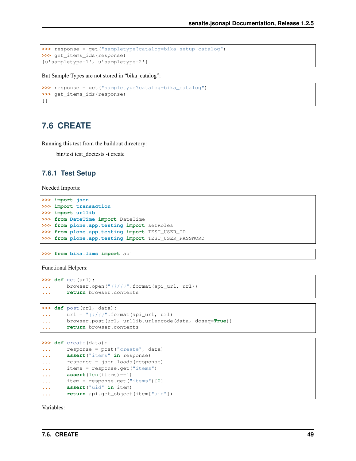```
>>> response = get("sampletype?catalog=bika_setup_catalog")
>>> get_items_ids(response)
[u'sampletype-1', u'sampletype-2']
```
But Sample Types are not stored in "bika\_catalog":

```
>>> response = get("sampletype?catalog=bika_catalog")
>>> get_items_ids(response)
[]
```
## <span id="page-52-0"></span>**7.6 CREATE**

Running this test from the buildout directory:

bin/test test\_doctests -t create

#### **7.6.1 Test Setup**

Needed Imports:

```
>>> import json
>>> import transaction
>>> import urllib
>>> from DateTime import DateTime
>>> from plone.app.testing import setRoles
>>> from plone.app.testing import TEST_USER_ID
>>> from plone.app.testing import TEST_USER_PASSWORD
```
**>>> from bika.lims import** api

Functional Helpers:

```
>>> def get(url):
... browser.open("{}/{}".format(api_url, url))
... return browser.contents
```

```
>>> def post(url, data):
\dots url = ''(})/()''. format (api_url, url)
... browser.post(url, urllib.urlencode(data, doseq=True))
... return browser.contents
```

```
>>> def create(data):
... response = post("create", data)
... assert("items" in response)
... response = json.loads(response)
... items = response.get("items")
... assert(len(items)==1)
... item = response.get("items")[0]
... assert("uid" in item)
... return api.get_object(item["uid"])
```
Variables: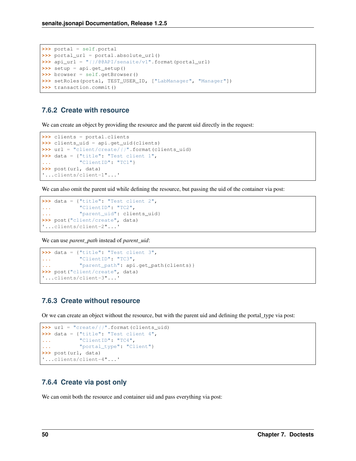```
>>> portal = self.portal
>>> portal_url = portal.absolute_url()
>>> api_url = "{}/@@API/senaite/v1".format(portal_url)
>>> setup = api.get_setup()
>>> browser = self.getBrowser()
>>> setRoles(portal, TEST_USER_ID, ["LabManager", "Manager"])
>>> transaction.commit()
```
### **7.6.2 Create with resource**

We can create an object by providing the resource and the parent uid directly in the request:

```
>>> clients = portal.clients
>>> clients_uid = api.get_uid(clients)
>>> url = "client/create/{}".format(clients_uid)
>>> data = {"title": "Test client 1",
... "ClientID": "TC1"}
>>> post(url, data)
'...clients/client-1"...'
```
We can also omit the parent uid while defining the resource, but passing the uid of the container via post:

```
>>> data = {"title": "Test client 2",
... "ClientID": "TC2",
... "parent_uid": clients_uid}
>>> post("client/create", data)
'...clients/client-2"...'
```
We can use *parent\_path* instead of *parent\_uid*:

```
>>> data = {"title": "Test client 3",
... "ClientID": "TC3",
... "parent_path": api.get_path(clients)}
>>> post("client/create", data)
'...clients/client-3"...'
```
### **7.6.3 Create without resource**

Or we can create an object without the resource, but with the parent uid and defining the portal\_type via post:

```
>>> url = "create/{}".format(clients_uid)
>>> data = {"title": "Test client 4",
... "ClientID": "TC4",
... "portal_type": "Client"}
>>> post(url, data)
'...clients/client-4"...'
```
### **7.6.4 Create via post only**

We can omit both the resource and container uid and pass everything via post: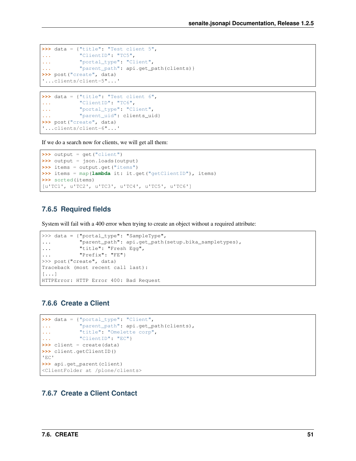```
>>> data = {"title": "Test client 5",
... "ClientID": "TC5",
... "portal_type": "Client",
... "parent_path": api.get_path(clients)}
>>> post("create", data)
'...clients/client-5"...'
```

```
>>> data = {"title": "Test client 6",
... "ClientID": "TC6",
... "portal_type": "Client",
... "parent_uid": clients_uid}
>>> post("create", data)
'...clients/client-6"...'
```
If we do a search now for clients, we will get all them:

```
>>> output = get("client")
>>> output = json.loads(output)
>>> items = output.get("items")
>>> items = map(lambda it: it.get("getClientID"), items)
>>> sorted(items)
[u'TC1', u'TC2', u'TC3', u'TC4', u'TC5', u'TC6']
```
### **7.6.5 Required fields**

System will fail with a 400 error when trying to create an object without a required attribute:

```
>>> data = {"portal_type": "SampleType",
... "parent_path": api.get_path(setup.bika_sampletypes),
... "title": "Fresh Egg",
... "Prefix": "FE"}
>>> post("create", data)
Traceback (most recent call last):
[...]
HTTPError: HTTP Error 400: Bad Request
```
### **7.6.6 Create a Client**

```
>>> data = {"portal_type": "Client",
... "parent_path": api.get_path(clients),
... "title": "Omelette corp",
... "ClientID": "EC"}
>>> client = create(data)
>>> client.getClientID()
'EC'
>>> api.get_parent(client)
<ClientFolder at /plone/clients>
```
### **7.6.7 Create a Client Contact**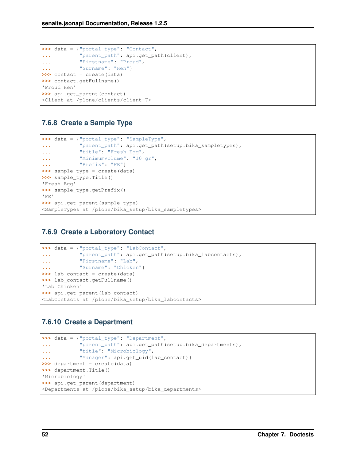```
>>> data = {"portal_type": "Contact",
... "parent_path": api.get_path(client),
... "Firstname": "Proud",
... "Surname": "Hen"}
>>> contact = create(data)
>>> contact.getFullname()
'Proud Hen'
>>> api.get_parent(contact)
<Client at /plone/clients/client-7>
```
### **7.6.8 Create a Sample Type**

```
>>> data = {"portal_type": "SampleType",
... "parent_path": api.get_path(setup.bika_sampletypes),
... "title": "Fresh Egg",
... "MinimumVolume": "10 gr",
... "Prefix": "FE"}
>>> sample_type = create(data)
>>> sample_type.Title()
'Fresh Egg'
>>> sample_type.getPrefix()
'FE'
>>> api.get_parent(sample_type)
<SampleTypes at /plone/bika_setup/bika_sampletypes>
```
### **7.6.9 Create a Laboratory Contact**

```
>>> data = {"portal_type": "LabContact",
... "parent_path": api.get_path(setup.bika_labcontacts),
... "Firstname": "Lab",
... "Surname": "Chicken"}
>>> lab_contact = create(data)
>>> lab_contact.getFullname()
'Lab Chicken'
>>> api.get_parent(lab_contact)
<LabContacts at /plone/bika_setup/bika_labcontacts>
```
### **7.6.10 Create a Department**

```
>>> data = {"portal_type": "Department",
... "parent_path": api.get_path(setup.bika_departments),
... "title": "Microbiology",
... "Manager": api.get_uid(lab_contact)}
>>> department = create(data)
>>> department.Title()
'Microbiology'
>>> api.get_parent(department)
<Departments at /plone/bika_setup/bika_departments>
```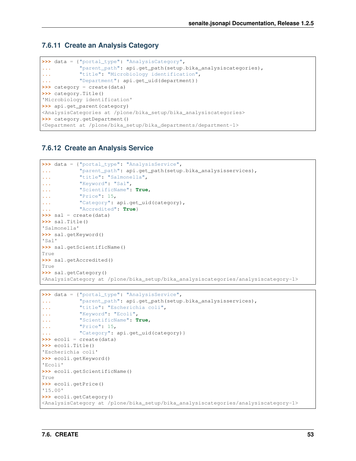### **7.6.11 Create an Analysis Category**

```
>>> data = {"portal_type": "AnalysisCategory",
... "parent_path": api.get_path(setup.bika_analysiscategories),
... "title": "Microbiology identification",
... "Department": api.get_uid(department)}
>>> category = create(data)
>>> category.Title()
'Microbiology identification'
>>> api.get_parent(category)
<AnalysisCategories at /plone/bika_setup/bika_analysiscategories>
>>> category.getDepartment()
<Department at /plone/bika_setup/bika_departments/department-1>
```
### **7.6.12 Create an Analysis Service**

```
>>> data = {"portal_type": "AnalysisService",
... "parent_path": api.get_path(setup.bika_analysisservices),
... "title": "Salmonella",
... "Keyword": "Sal",
... "ScientificName": True,
... "Price": 15,
... "Category": api.get_uid(category),
... "Accredited": True}
>>> sal = create(data)
>>> sal.Title()
'Salmonella'
>>> sal.getKeyword()
'Sal'
>>> sal.getScientificName()
True
>>> sal.getAccredited()
True
>>> sal.getCategory()
<AnalysisCategory at /plone/bika_setup/bika_analysiscategories/analysiscategory-1>
```

```
>>> data = {"portal_type": "AnalysisService",
... "parent_path": api.get_path(setup.bika_analysisservices),
... "title": "Escherichia coli",
... "Keyword": "Ecoli",
... "ScientificName": True,
... "Price": 15,
... "Category": api.get_uid(category)}
>>> ecoli = create(data)
>>> ecoli.Title()
'Escherichia coli'
>>> ecoli.getKeyword()
'Ecoli'
>>> ecoli.getScientificName()
True
>>> ecoli.getPrice()
'15.00'
>>> ecoli.getCategory()
<AnalysisCategory at /plone/bika_setup/bika_analysiscategories/analysiscategory-1>
```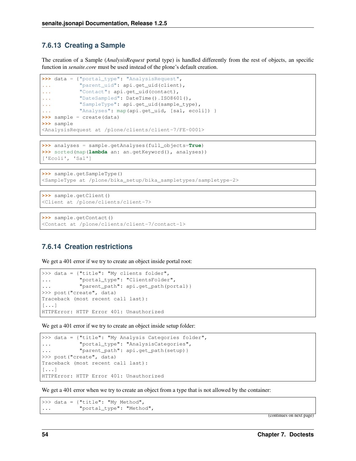### **7.6.13 Creating a Sample**

The creation of a Sample (*AnalysisRequest* portal type) is handled differently from the rest of objects, an specific function in *senaite.core* must be used instead of the plone's default creation.

```
>>> data = {"portal_type": "AnalysisRequest",
... "parent_uid": api.get_uid(client),
... "Contact": api.get_uid(contact),
... "DateSampled": DateTime().ISO8601(),
... "SampleType": api.get_uid(sample_type),
... "Analyses": map(api.get_uid, [sal, ecoli]) }
>>> sample = create(data)
>>> sample
<AnalysisRequest at /plone/clients/client-7/FE-0001>
```

```
>>> analyses = sample.getAnalyses(full_objects=True)
>>> sorted(map(lambda an: an.getKeyword(), analyses))
['Ecoli', 'Sal']
```

```
>>> sample.getSampleType()
<SampleType at /plone/bika_setup/bika_sampletypes/sampletype-2>
```

```
>>> sample.getClient()
<Client at /plone/clients/client-7>
```

```
>>> sample.getContact()
<Contact at /plone/clients/client-7/contact-1>
```
#### **7.6.14 Creation restrictions**

We get a 401 error if we try to create an object inside portal root:

```
>>> data = {"title": "My clients folder",
... "portal_type": "ClientsFolder",
... "parent_path": api.get_path(portal)}
>>> post("create", data)
Traceback (most recent call last):
[...]
HTTPError: HTTP Error 401: Unauthorized
```
We get a 401 error if we try to create an object inside setup folder:

```
>>> data = {"title": "My Analysis Categories folder",
... "portal_type": "AnalysisCategories",
... "parent_path": api.get_path(setup)}
>>> post("create", data)
Traceback (most recent call last):
[...]
HTTPError: HTTP Error 401: Unauthorized
```
We get a 401 error when we try to create an object from a type that is not allowed by the container:

```
>>> data = {"title": "My Method",
... "portal_type": "Method",
```
(continues on next page)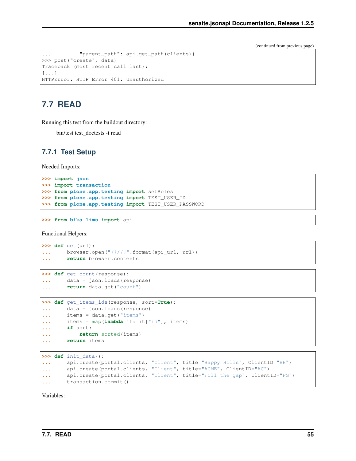(continued from previous page)

```
... "parent_path": api.get_path(clients)}
>>> post("create", data)
Traceback (most recent call last):
[\ldots]HTTPError: HTTP Error 401: Unauthorized
```
## <span id="page-58-0"></span>**7.7 READ**

Running this test from the buildout directory:

bin/test test\_doctests -t read

#### **7.7.1 Test Setup**

Needed Imports:

```
>>> import json
>>> import transaction
>>> from plone.app.testing import setRoles
>>> from plone.app.testing import TEST_USER_ID
>>> from plone.app.testing import TEST_USER_PASSWORD
```
**>>> from bika.lims import** api

Functional Helpers:

```
>>> def get(url):
... browser.open("{}/{}".format(api_url, url))
... return browser.contents
```

```
>>> def get_count(response):
... data = json.loads(response)
... return data.get("count")
```

```
>>> def get_items_ids(response, sort=True):
... data = json.loads(response)
... items = data.get("items")
... items = map(lambda it: it["id"], items)
... if sort:
... return sorted(items)
... return items
```

```
>>> def init_data():
... api.create(portal.clients, "Client", title="Happy Hills", ClientID="HH")
... api.create(portal.clients, "Client", title="ACME", ClientID="AC")
... api.create(portal.clients, "Client", title="Fill the gap", ClientID="FG")
... transaction.commit()
```
Variables: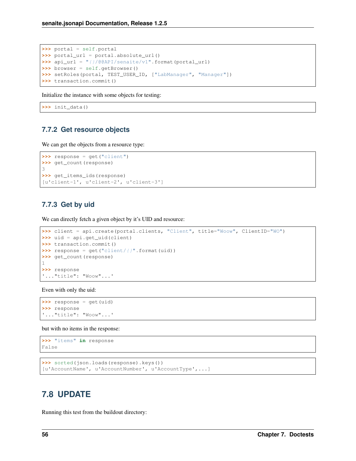```
>>> portal = self.portal
>>> portal_url = portal.absolute_url()
>>> api_url = "{}/@@API/senaite/v1".format(portal_url)
>>> browser = self.getBrowser()
>>> setRoles(portal, TEST_USER_ID, ["LabManager", "Manager"])
>>> transaction.commit()
```
Initialize the instance with some objects for testing:

**>>>** init\_data()

### **7.7.2 Get resource objects**

We can get the objects from a resource type:

```
>>> response = get("client")
>>> get_count(response)
3
>>> get_items_ids(response)
[u'client-1', u'client-2', u'client-3']
```
### **7.7.3 Get by uid**

We can directly fetch a given object by it's UID and resource:

```
>>> client = api.create(portal.clients, "Client", title="Woow", ClientID="WO")
>>> uid = api.get_uid(client)
>>> transaction.commit()
\rightarrow\rightarrow response = get("client/{}".format(uid))
>>> get_count(response)
1
>>> response
'..."title": "Woow"...'
```
Even with only the uid:

```
>>> response = get(uid)
>>> response
'..."title": "Woow"...'
```
but with no items in the response:

```
>>> "items" in response
False
```

```
>>> sorted(json.loads(response).keys())
[u'AccountName', u'AccountNumber', u'AccountType',...]
```
## <span id="page-59-0"></span>**7.8 UPDATE**

Running this test from the buildout directory: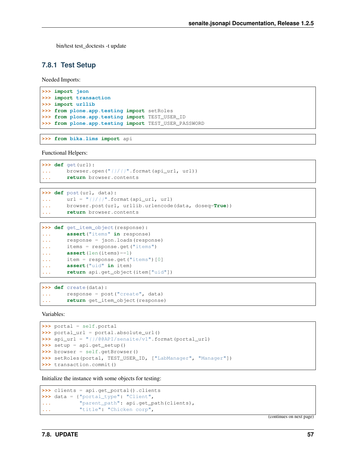bin/test test doctests -t update

#### **7.8.1 Test Setup**

Needed Imports:

```
>>> import json
>>> import transaction
>>> import urllib
>>> from plone.app.testing import setRoles
>>> from plone.app.testing import TEST_USER_ID
>>> from plone.app.testing import TEST_USER_PASSWORD
```
**>>> from bika.lims import** api

Functional Helpers:

```
>>> def get(url):
... browser.open("{}/{}".format(api_url, url))
... return browser.contents
```

```
>>> def post(url, data):
\dots url = ''( }/()''. format (api_url, url)
... browser.post(url, urllib.urlencode(data, doseq=True))
... return browser.contents
```

```
>>> def get_item_object(response):
... assert("items" in response)
... response = json.loads(response)
... items = response.get("items")
... assert(len(items)==1)
... item = response.get("items")[0]
... assert("uid" in item)
... return api.get_object(item["uid"])
```
**>>> def** create(data): **...** response = post("create", data) **... return** get\_item\_object(response)

Variables:

```
>>> portal = self.portal
>>> portal_url = portal.absolute_url()
>>> api_url = "{}/@@API/senaite/v1".format(portal_url)
>>> setup = api.get_setup()
>>> browser = self.getBrowser()
>>> setRoles(portal, TEST_USER_ID, ["LabManager", "Manager"])
>>> transaction.commit()
```
Initialize the instance with some objects for testing:

```
>>> clients = api.get_portal().clients
>>> data = {"portal_type": "Client",
... "parent_path": api.get_path(clients),
... "title": "Chicken corp",
```
(continues on next page)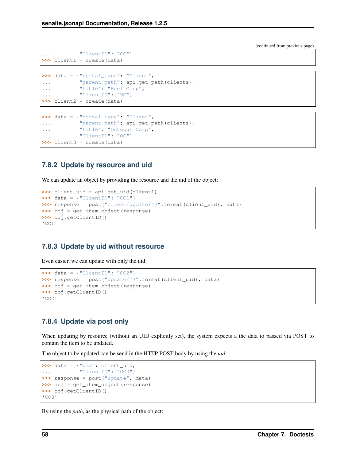(continued from previous page)

```
... "ClientID": "CC"}
>>> client1 = create(data)
```

```
>>> data = {"portal_type": "Client",
... "parent_path": api.get_path(clients),
... "title": "Beef Corp",
... "ClientID": "BC"}
>>> client2 = create(data)
```

```
>>> data = {"portal_type": "Client",
... "parent_path": api.get_path(clients),
... "title": "Octopus Corp",
... "ClientID": "OC"}
>>> client3 = create(data)
```
### **7.8.2 Update by resource and uid**

We can update an object by providing the resource and the uid of the object:

```
>>> client_uid = api.get_uid(client1)
>>> data = {"ClientID": "CC1"}
>>> response = post("client/update/{}".format(client_uid), data)
>>> obj = get_item_object(response)
>>> obj.getClientID()
'CC1'
```
### **7.8.3 Update by uid without resource**

Even easier, we can update with only the uid:

```
>>> data = {"ClientID": "CC2"}
>>> response = post("update/{}".format(client_uid), data)
>>> obj = get_item_object(response)
>>> obj.getClientID()
'CC2'
```
### **7.8.4 Update via post only**

When updating by resource (without an UID explicitly set), the system expects a the data to passed via POST to contain the item to be updated.

The object to be updated can be send in the HTTP POST body by using the *uid*:

```
>>> data = {"uid": client_uid,
... "ClientID": "CC3"}
>>> response = post("update", data)
>>> obj = get_item_object(response)
>>> obj.getClientID()
'CC3'
```
By using the *path*, as the physical path of the object: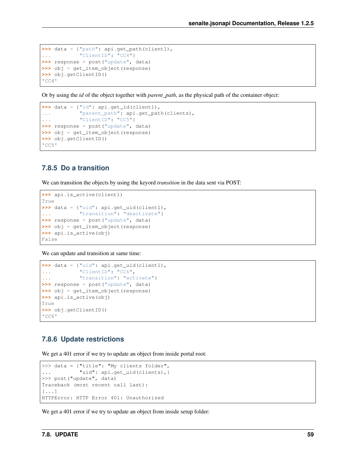```
>>> data = {"path": api.get_path(client1),
... "ClientID": "CC4"}
>>> response = post("update", data)
>>> obj = get_item_object(response)
>>> obj.getClientID()
'CC4'
```
Or by using the *id* of the object together with *parent\_path*, as the physical path of the container object:

```
>>> data = {"id": api.get_id(client1),
... "parent_path": api.get_path(clients),
... "ClientID": "CC5"}
>>> response = post("update", data)
>>> obj = get_item_object(response)
>>> obj.getClientID()
' CC5'
```
### **7.8.5 Do a transition**

We can transition the objects by using the keyord *transition* in the data sent via POST:

```
>>> api.is_active(client1)
True
>>> data = {"uid": api.get_uid(client1),
... "transition": "deactivate"}
>>> response = post("update", data)
>>> obj = get_item_object(response)
>>> api.is_active(obj)
False
```
We can update and transition at same time:

```
>>> data = {"uid": api.get_uid(client1),
... "ClientID": "CC6",
... "transition": "activate"}
>>> response = post("update", data)
>>> obj = get_item_object(response)
>>> api.is_active(obj)
True
>>> obj.getClientID()
'CC6'
```
### **7.8.6 Update restrictions**

We get a 401 error if we try to update an object from inside portal root:

```
>>> data = {"title": "My clients folder",
... "uid": api.get_uid(clients),}
>>> post("update", data)
Traceback (most recent call last):
[...]
HTTPError: HTTP Error 401: Unauthorized
```
We get a 401 error if we try to update an object from inside setup folder: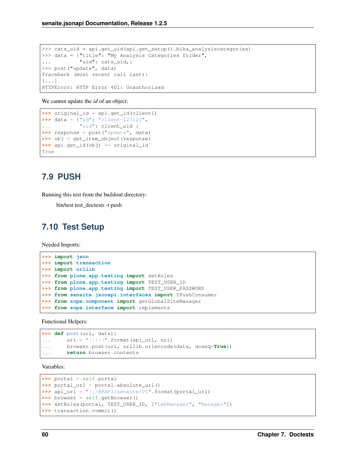```
>>> cats_uid = api.get_uid(api.get_setup().bika_analysiscategories)
>>> data = {"title": "My Analysis Categories folder",
... "uid": cats_uid, }
>>> post("update", data)
Traceback (most recent call last):
[\ldots]HTTPError: HTTP Error 401: Unauthorized
```
We cannot update the *id* of an object:

```
>>> original_id = api.get_id(client1)
>>> data = {"id": "client-123123",
... "uid": client_uid }
>>> response = post("update", data)
>>> obj = get_item_object(response)
>>> api.get_id(obj) == original_id
True
```
## <span id="page-63-0"></span>**7.9 PUSH**

Running this test from the buildout directory:

bin/test test\_doctests -t push

## <span id="page-63-1"></span>**7.10 Test Setup**

Needed Imports:

```
>>> import json
>>> import transaction
>>> import urllib
>>> from plone.app.testing import setRoles
>>> from plone.app.testing import TEST_USER_ID
>>> from plone.app.testing import TEST_USER_PASSWORD
>>> from senaite.jsonapi.interfaces import IPushConsumer
>>> from zope.component import getGlobalSiteManager
>>> from zope.interface import implements
```
Functional Helpers:

```
>>> def post(url, data):
\ldots url = \sqrt[n]{(} format(api_url, url)
... browser.post(url, urllib.urlencode(data, doseq=True))
... return browser.contents
```
Variables:

```
>>> portal = self.portal
>>> portal_url = portal.absolute_url()
>>> api_url = "{}/@@API/senaite/v1".format(portal_url)
>>> browser = self.getBrowser()
>>> setRoles(portal, TEST_USER_ID, ["LabManager", "Manager"])
>>> transaction.commit()
```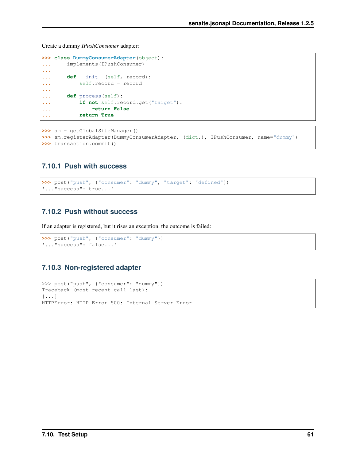Create a dummy *IPushConsumer* adapter:

```
>>> class DummyConsumerAdapter(object):
... implements(IPushConsumer)
...
... def __init__(self, record):
... self.record = record
...
... def process(self):
... if not self.record.get("target"):
... return False
... return True
```
**>>>** sm = getGlobalSiteManager() **>>>** sm.registerAdapter(DummyConsumerAdapter, (dict,), IPushConsumer, name="dummy") **>>>** transaction.commit()

### **7.10.1 Push with success**

```
>>> post("push", {"consumer": "dummy", "target": "defined"})
'..."success": true...'
```
### **7.10.2 Push without success**

If an adapter is registered, but it rises an exception, the outcome is failed:

```
>>> post("push", {"consumer": "dummy"})
'..."success": false...'
```
### **7.10.3 Non-registered adapter**

```
>>> post("push", {"consumer": "zummy"})
Traceback (most recent call last):
[\ldots]HTTPError: HTTP Error 500: Internal Server Error
```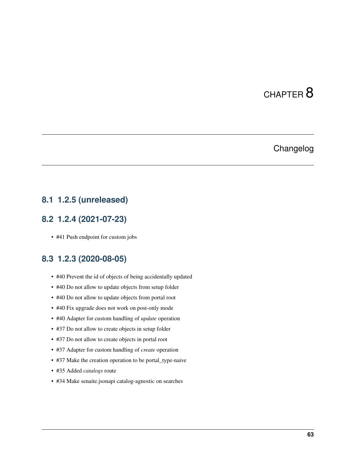# CHAPTER 8

## Changelog

## <span id="page-66-1"></span><span id="page-66-0"></span>**8.1 1.2.5 (unreleased)**

## <span id="page-66-2"></span>**8.2 1.2.4 (2021-07-23)**

• #41 Push endpoint for custom jobs

## <span id="page-66-3"></span>**8.3 1.2.3 (2020-08-05)**

- #40 Prevent the id of objects of being accidentally updated
- #40 Do not allow to update objects from setup folder
- #40 Do not allow to update objects from portal root
- #40 Fix upgrade does not work on post-only mode
- #40 Adapter for custom handling of *update* operation
- #37 Do not allow to create objects in setup folder
- #37 Do not allow to create objects in portal root
- #37 Adapter for custom handling of *create* operation
- #37 Make the creation operation to be portal\_type-naive
- #35 Added *catalogs* route
- #34 Make senaite.jsonapi catalog-agnostic on searches